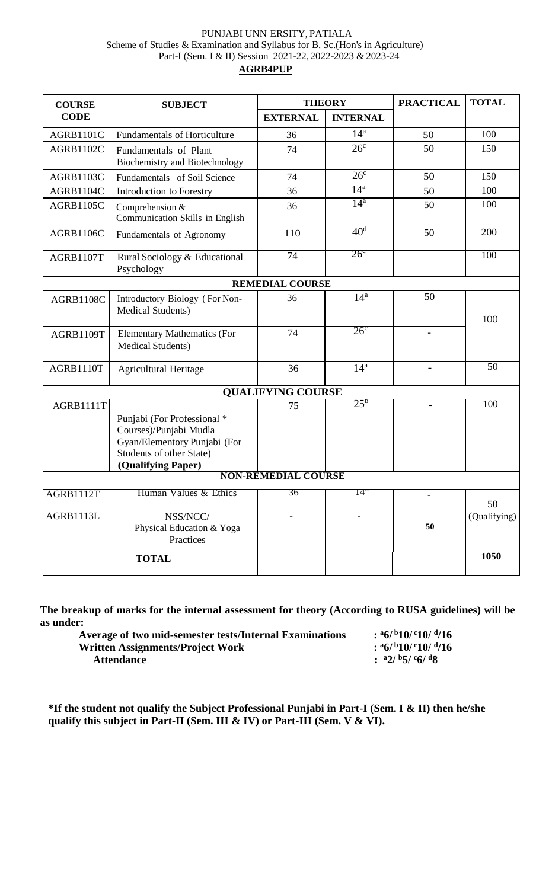#### PUNJABI UNN ERSITY, PATIALA Scheme of Studies & Examination and Syllabus for B. Sc.(Hon's in Agriculture) Part-I (Sem. I & II) Session 2021-22, 2022-2023 & 2023-24

#### **AGRB4PUP**

| <b>COURSE</b>    | <b>SUBJECT</b>                                                                                                                          | <b>THEORY</b>              |                   | <b>PRACTICAL</b>         | <b>TOTAL</b> |
|------------------|-----------------------------------------------------------------------------------------------------------------------------------------|----------------------------|-------------------|--------------------------|--------------|
| <b>CODE</b>      |                                                                                                                                         | <b>EXTERNAL</b>            | <b>INTERNAL</b>   |                          |              |
| <b>AGRB1101C</b> | <b>Fundamentals of Horticulture</b>                                                                                                     | 36                         | $14^a$            | 50                       | 100          |
| AGRB1102C        | Fundamentals of Plant<br>Biochemistry and Biotechnology                                                                                 | 74                         | 26 <sup>c</sup>   | 50                       | 150          |
| AGRB1103C        | Fundamentals of Soil Science                                                                                                            | 74                         | 26 <sup>c</sup>   | 50                       | 150          |
| AGRB1104C        | Introduction to Forestry                                                                                                                | 36                         | 14 <sup>a</sup>   | 50                       | 100          |
| <b>AGRB1105C</b> | Comprehension &<br>Communication Skills in English                                                                                      | 36                         | $\overline{14^a}$ | 50                       | 100          |
| <b>AGRB1106C</b> | Fundamentals of Agronomy                                                                                                                | 110                        | 40 <sup>d</sup>   | 50                       | 200          |
| AGRB1107T        | Rural Sociology & Educational<br>Psychology                                                                                             | 74                         | $26^{\circ}$      |                          | 100          |
|                  |                                                                                                                                         | <b>REMEDIAL COURSE</b>     |                   |                          |              |
| AGRB1108C        | Introductory Biology (For Non-<br>Medical Students)                                                                                     | 36                         | 14 <sup>a</sup>   | 50                       | 100          |
| AGRB1109T        | <b>Elementary Mathematics (For</b><br><b>Medical Students)</b>                                                                          | 74                         | 26 <sup>c</sup>   |                          |              |
| AGRB1110T        | <b>Agricultural Heritage</b>                                                                                                            | 36                         | 14 <sup>a</sup>   |                          | 50           |
|                  |                                                                                                                                         | <b>QUALIFYING COURSE</b>   |                   |                          |              |
| AGRB1111T        | Punjabi (For Professional *<br>Courses)/Punjabi Mudla<br>Gyan/Elementory Punjabi (For<br>Students of other State)<br>(Qualifying Paper) | 75                         | 25 <sup>b</sup>   |                          | 100          |
|                  |                                                                                                                                         | <b>NON-REMEDIAL COURSE</b> |                   |                          |              |
| <b>AGRB1112T</b> | Human Values & Ethics                                                                                                                   | 36                         | $14^{\circ}$      | $\overline{\phantom{a}}$ | 50           |
| AGRB1113L        | NSS/NCC/<br>Physical Education & Yoga<br>Practices                                                                                      |                            |                   | 50                       | (Qualifying) |
| <b>TOTAL</b>     |                                                                                                                                         |                            |                   |                          | 1050         |

**The breakup of marks for the internal assessment for theory (According to RUSA guidelines) will be as under:**

**Average of two mid-semester tests/Internal Examinations : <sup>a</sup>6/ <sup>b</sup>10/ <sup>c</sup>10/ <sup>d</sup> Written Assignments/Project Work : <sup>a</sup>6/ <sup>b</sup>10/ <sup>c</sup>10/ <sup>d</sup> Attendance : <sup>a</sup>2/ <sup>b</sup>5/ <sup>c</sup>6/ <sup>d</sup>8** 

 $:$ <sup>a</sup>6/<sup>b</sup>10/<sup>c</sup>10/<sup>d</sup>/16  $:$ <sup>a</sup>6/<sup>b</sup>10/<sup>c</sup>10/<sup>d</sup>/16

**\*If the student not qualify the Subject Professional Punjabi in Part-I (Sem. I & II) then he/she qualify this subject in Part-II (Sem. III & IV) or Part-III (Sem. V & VI).**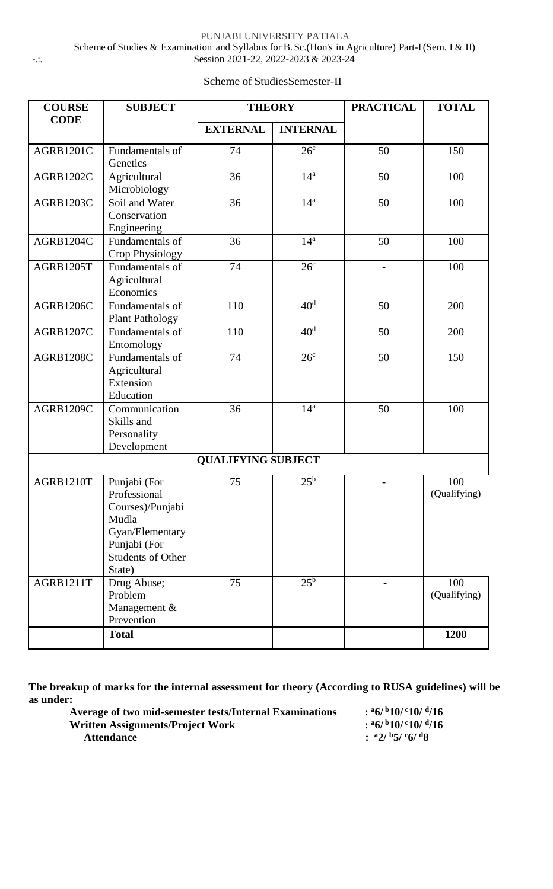PUNJABI UNIVERSITY PATIALA Scheme of Studies & Examination and Syllabus for B.Sc.(Hon's in Agriculture) Part-I (Sem. I & II) -.:. Session 2021-22, 2022-2023 & 2023-24

#### **COURSE CODE SUBJECT THEORY PRACTICAL TOTAL EXTERNAL INTERNAL** AGRB1201C Fundamentals of **Genetics**  $74$   $26^c$ 50 150 AGRB1202C Agricultural Microbiology  $36$  14<sup>a</sup> 50 100 AGRB1203C Soil and Water Conservation Engineering  $36$  14<sup>a</sup> 50 100 AGRB1204C Fundamentals of Crop Physiology  $36$  14<sup>a</sup> 50 100 AGRB1205T Fundamentals of Agricultural Economics  $74 \t 26^c$ - 100 AGRB1206C Fundamentals of Plant Pathology  $110 \t 40^d$ 50 200 AGRB1207C Fundamentals of Entomology  $110 \t 40^d$ 50 200 AGRB1208C Fundamentals of Agricultural Extension Education  $74$   $26^c$ 50 150 AGRB1209C Communication Skills and Personality Development  $36$  14<sup>a</sup> 50 100 **QUALIFYING SUBJECT** AGRB1210T Punjabi (For Professional Courses)/Punjabi Mudla Gyan/Elementary Punjabi (For Students of Other State) 75  $25^b$  $- 100$ (Qualifying) AGRB1211T Drug Abuse; Problem Management & Prevention 75  $25^b$  $- 100$ (Qualifying) **Total 1200**

Scheme of StudiesSemester-II

**The breakup of marks for the internal assessment for theory (According to RUSA guidelines) will be as under:**

| Average of two mid-semester tests/Internal Examinations | $:$ $\frac{a}{b}$ / $\frac{b}{10}$ / $\frac{c}{10}$ / $\frac{d}{16}$ |
|---------------------------------------------------------|----------------------------------------------------------------------|
| Written Assignments/Project Work                        | $:$ $\frac{a}{b}$ / $\frac{b}{10}$ / $\frac{c}{10}$ / $\frac{d}{16}$ |
| <b>Attendance</b>                                       | : $a2/b5/c6/d8$                                                      |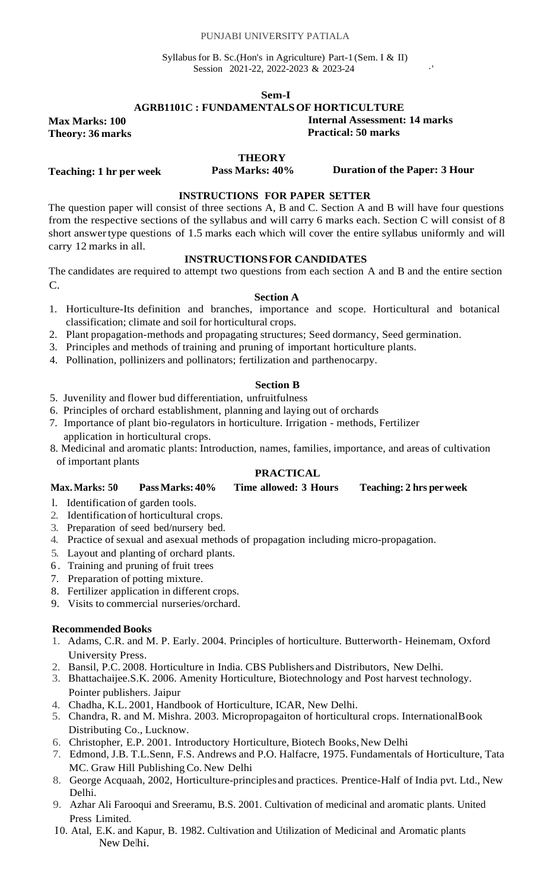#### PUNJABI UNIVERSITY PATIALA

Syllabus for B. Sc.(Hon's in Agriculture) Part-1 (Sem. I & II) Session 2021-22, 2022-2023 & 2023-24

**Sem-I**

#### **AGRB1101C : FUNDAMENTALSOF HORTICULTURE**

**Max Marks: 100 Theory: 36 marks**

**Teaching: 1 hr per week**

**Internal Assessment: 14 marks**

**Practical: 50 marks**

#### **THEORY**

**Pass Marks: 40% Duration of the Paper: 3 Hour**

#### **INSTRUCTIONS FOR PAPER SETTER**

The question paper will consist of three sections A, B and C. Section A and B will have four questions from the respective sections of the syllabus and will carry 6 marks each. Section C will consist of 8 short answertype questions of 1.5 marks each which will cover the entire syllabus uniformly and will carry 12 marks in all.

#### **INSTRUCTIONSFOR CANDIDATES**

The candidates are required to attempt two questions from each section A and B and the entire section C.

#### **Section A**

- 1. Horticulture-Its definition and branches, importance and scope. Horticultural and botanical classification; climate and soil for horticultural crops.
- 2. Plant propagation-methods and propagating structures; Seed dormancy, Seed germination.
- 3. Principles and methods of training and pruning of important horticulture plants.
- 4. Pollination, pollinizers and pollinators; fertilization and parthenocarpy.

#### **Section B**

- 5. Juvenility and flower bud differentiation, unfruitfulness
- 6. Principles of orchard establishment, planning and laying out of orchards
- 7. Importance of plant bio-regulators in horticulture. Irrigation methods, Fertilizer
- application in horticultural crops.
- 8. Medicinal and aromatic plants: Introduction, names, families, importance, and areas of cultivation of important plants

### **PRACTICAL**

| Time allowed: 3 Hours<br>Pass Marks: 40%<br><b>Max. Marks: 50</b> | <b>Teaching: 2 hrs per week</b> |
|-------------------------------------------------------------------|---------------------------------|
|-------------------------------------------------------------------|---------------------------------|

- l. Identification of garden tools.
- 2. Identification of horticultural crops.
- 3. Preparation of seed bed/nursery bed.
- 4. Practice of sexual and asexual methods of propagation including micro-propagation.
- 5. Layout and planting of orchard plants.
- 6 . Training and pruning of fruit trees
- 7. Preparation of potting mixture.
- 8. Fertilizer application in different crops.
- 9. Visits to commercial nurseries/orchard.

- 1. Adams, C.R. and M. P. Early. 2004. Principles of horticulture. Butterworth- Heinemam, Oxford University Press.
- 2. Bansil, P.C. 2008. Horticulture in India. CBS Publishers and Distributors, New Delhi.
- 3. Bhattachaijee.S.K. 2006. Amenity Horticulture, Biotechnology and Post harvest technology. Pointer publishers. Jaipur
- 4. Chadha, K.L. 2001, Handbook of Horticulture, ICAR, New Delhi.
- 5. Chandra, R. and M. Mishra. 2003. Micropropagaiton of horticultural crops. InternationalBook Distributing Co., Lucknow.
- 6. Christopher, E.P. 2001. Introductory Horticulture, Biotech Books, New Delhi
- 7. Edmond, J.B. T.L.Senn, F.S. Andrews and P.O. Halfacre, 1975. Fundamentals of Horticulture, Tata MC. Graw Hill Publishing Co. New Delhi
- 8. George Acquaah, 2002, Horticulture-principles and practices. Prentice-Half of India pvt. Ltd., New Delhi.
- 9. Azhar Ali Farooqui and Sreeramu, B.S. 2001. Cultivation of medicinal and aromatic plants. United Press Limited.
- I0. Atal, E.K. and Kapur, B. 1982. Cultivation and Utilization of Medicinal and Aromatic plants New Delhi.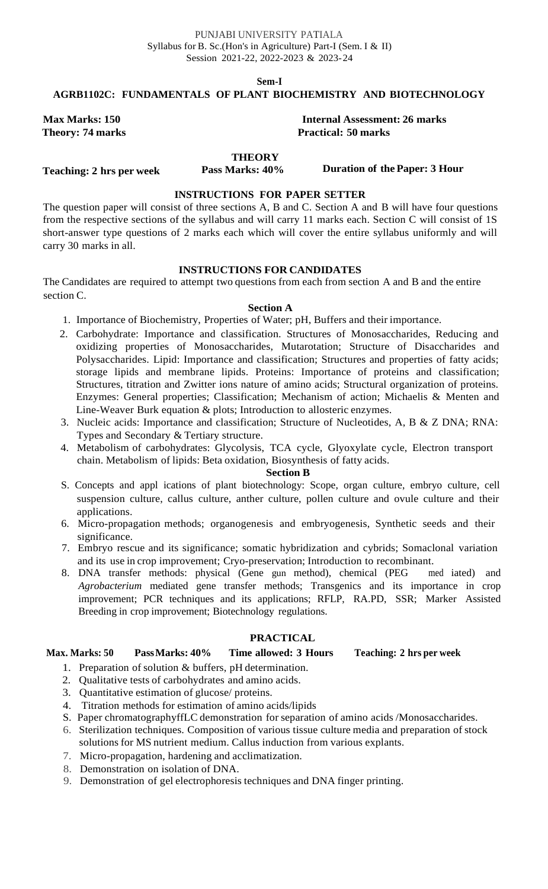**Sem-I**

#### **AGRB1102C: FUNDAMENTALS OF PLANT BIOCHEMISTRY AND BIOTECHNOLOGY**

#### **Max Marks: 150 Internal Assessment: 26 marks Theory: 74 marks Practical: 50 marks**

#### **THEORY**

**Teaching: 2 hrs per week**

**Pass Marks: 40% Duration of the Paper: 3 Hour**

#### **INSTRUCTIONS FOR PAPER SETTER**

The question paper will consist of three sections A, B and C. Section A and B will have four questions from the respective sections of the syllabus and will carry 11 marks each. Section C will consist of 1S short-answer type questions of 2 marks each which will cover the entire syllabus uniformly and will carry 30 marks in all.

#### **INSTRUCTIONS FOR CANDIDATES**

The Candidates are required to attempt two questions from each from section A and B and the entire section C.

#### **Section A**

- 1. Importance of Biochemistry, Properties of Water; pH, Buffers and their importance.
- 2. Carbohydrate: Importance and classification. Structures of Monosaccharides, Reducing and oxidizing properties of Monosaccharides, Mutarotation; Structure of Disaccharides and Polysaccharides. Lipid: Importance and classification; Structures and properties of fatty acids; storage lipids and membrane lipids. Proteins: Importance of proteins and classification; Structures, titration and Zwitter ions nature of amino acids; Structural organization of proteins. Enzymes: General properties; Classification; Mechanism of action; Michaelis & Menten and Line-Weaver Burk equation & plots; Introduction to allosteric enzymes.
- 3. Nucleic acids: Importance and classification; Structure of Nucleotides, A, B & Z DNA; RNA: Types and Secondary & Tertiary structure.
- 4. Metabolism of carbohydrates: Glycolysis, TCA cycle, Glyoxylate cycle, Electron transport chain. Metabolism of lipids: Beta oxidation, Biosynthesis of fatty acids.

#### **Section B**

- S. Concepts and appl ications of plant biotechnology: Scope, organ culture, embryo culture, cell suspension culture, callus culture, anther culture, pollen culture and ovule culture and their applications.
- 6. Micro-propagation methods; organogenesis and embryogenesis, Synthetic seeds and their significance.
- 7. Embryo rescue and its significance; somatic hybridization and cybrids; Somaclonal variation and its use in crop improvement; Cryo-preservation; Introduction to recombinant.
- 8. DNA transfer methods: physical (Gene gun method), chemical (PEG ined iated) and *Agrobacterium* mediated gene transfer methods; Transgenics and its importance in crop improvement; PCR techniques and its applications; RFLP, RA.PD, SSR; Marker Assisted Breeding in crop improvement; Biotechnology regulations.

#### **PRACTICAL**

### **Max. Marks: 50 PassMarks: 40% Time allowed: 3 Hours Teaching: 2 hrs per week**

- 1. Preparation of solution & buffers, pH determination.
- 2. Qualitative tests of carbohydrates and amino acids.
- 3. Quantitative estimation of glucose/ proteins.
- 4. Titration methods for estimation of amino acids/lipids
- S. Paper chromatographyffLC demonstration for separation of amino acids /Monosaccharides.
- 6. Sterilization techniques. Composition of various tissue culture media and preparation of stock solutions for MS nutrient medium. Callus induction from various explants.
- 7. Micro-propagation, hardening and acclimatization.
- 8. Demonstration on isolation of DNA.
- 9. Demonstration of gel electrophoresis techniques and DNA finger printing.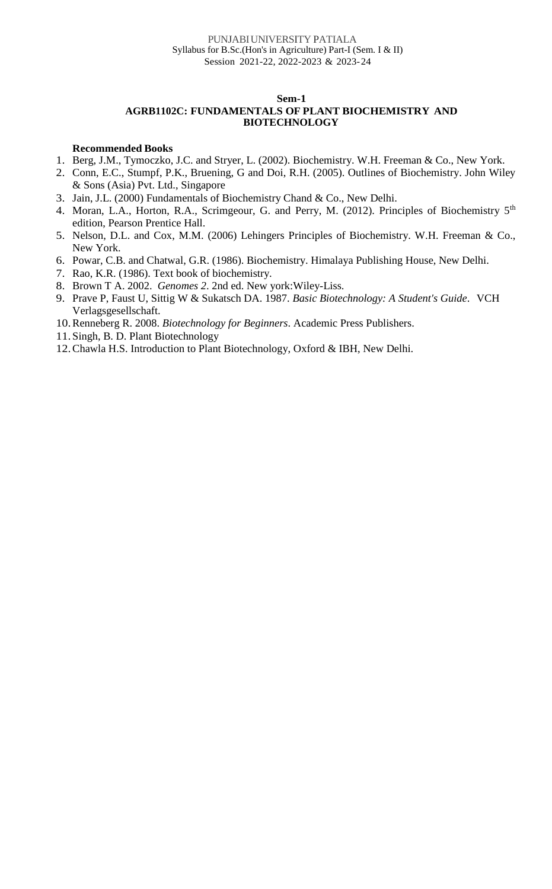### **AGRB1102C: FUNDAMENTALS OF PLANT BIOCHEMISTRY AND BIOTECHNOLOGY**

- 1. Berg, J.M., Tymoczko, J.C. and Stryer, L. (2002). Biochemistry. W.H. Freeman & Co., New York.
- 2. Conn, E.C., Stumpf, P.K., Bruening, G and Doi, R.H. (2005). Outlines of Biochemistry. John Wiley & Sons (Asia) Pvt. Ltd., Singapore
- 3. Jain, J.L. (2000) Fundamentals of Biochemistry Chand & Co., New Delhi.
- 4. Moran, L.A., Horton, R.A., Scrimgeour, G. and Perry, M. (2012). Principles of Biochemistry 5<sup>th</sup> edition, Pearson Prentice Hall.
- 5. Nelson, D.L. and Cox, M.M. (2006) Lehingers Principles of Biochemistry. W.H. Freeman & Co., New York.
- 6. Powar, C.B. and Chatwal, G.R. (1986). Biochemistry. Himalaya Publishing House, New Delhi.
- 7. Rao, K.R. (1986). Text book of biochemistry.
- 8. Brown T A. 2002. *Genomes 2*. 2nd ed. New york:Wiley-Liss.
- 9. Prave P, Faust U, Sittig W & Sukatsch DA. 1987. *Basic Biotechnology: A Student's Guide*. VCH Verlagsgesellschaft.
- 10.Renneberg R. 2008. *Biotechnology for Beginners*. Academic Press Publishers.
- 11. Singh, B. D. Plant Biotechnology
- 12.Chawla H.S. Introduction to Plant Biotechnology, Oxford & IBH, New Delhi.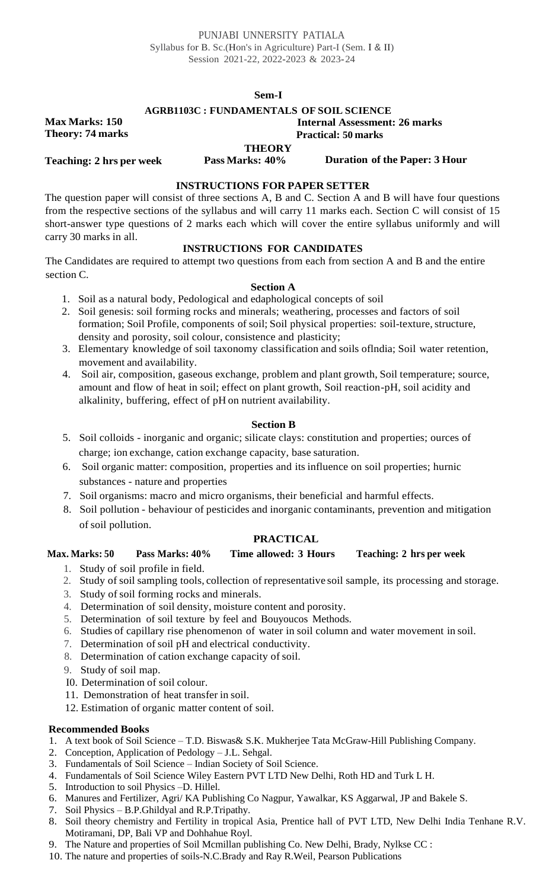#### **Sem-I**

#### **AGRB1103C : FUNDAMENTALS OF SOIL SCIENCE**

**Max Marks: 150 Theory: 74 marks**

#### **Internal Assessment: 26 marks Practical: 50 marks**

**THEORY**

**Teaching: 2 hrs per week Pass Marks: 40% Duration of the Paper: 3 Hour**

#### **INSTRUCTIONS FOR PAPER SETTER**

The question paper will consist of three sections A, B and C. Section A and B will have four questions from the respective sections of the syllabus and will carry 11 marks each. Section C will consist of 15 short-answer type questions of 2 marks each which will cover the entire syllabus uniformly and will carry 30 marks in all.

#### **INSTRUCTIONS FOR CANDIDATES**

The Candidates are required to attempt two questions from each from section A and B and the entire section C.

#### **Section A**

- 1. Soil as a natural body, Pedological and edaphological concepts of soil
- 2. Soil genesis: soil forming rocks and minerals; weathering, processes and factors of soil formation; Soil Profile, components of soil; Soil physical properties: soil-texture, structure, density and porosity, soil colour, consistence and plasticity;
- 3. Elementary knowledge of soil taxonomy classification and soils oflndia; Soil water retention, movement and availability.
- 4. Soil air, composition, gaseous exchange, problem and plant growth, Soil temperature; source, amount and flow of heat in soil; effect on plant growth, Soil reaction-pH, soil acidity and alkalinity, buffering, effect of pH on nutrient availability.

#### **Section B**

- 5. Soil colloids inorganic and organic; silicate clays: constitution and properties; ources of charge; ion exchange, cation exchange capacity, base saturation.
- 6. Soil organic matter: composition, properties and its influence on soil properties; hurnic substances - nature and properties
- 7. Soil organisms: macro and micro organisms, their beneficial and harmful effects.
- 8. Soil pollution behaviour of pesticides and inorganic contaminants, prevention and mitigation of soil pollution.

### **PRACTICAL**

### **Max. Marks: 50 Pass Marks: 40% Time allowed: 3 Hours Teaching: 2 hrs per week**

- 1. Study of soil profile in field.
- 2. Study of soil sampling tools, collection of representative soil sample, its processing and storage.
- 3. Study of soil forming rocks and minerals.
- 4. Determination of soil density, moisture content and porosity.
- 5. Determination of soil texture by feel and Bouyoucos Methods.
- 6. Studies of capillary rise phenomenon of water in soil column and water movement in soil.
- 7. Determination of soil pH and electrical conductivity.
- 8. Determination of cation exchange capacity of soil.
- 9. Study of soil map.
- I0. Determination of soil colour.
- 11. Demonstration of heat transfer in soil.
- 12. Estimation of organic matter content of soil.

- 1. A text book of Soil Science T.D. Biswas& S.K. Mukherjee Tata McGraw-Hill Publishing Company.
- 2. Conception, Application of Pedology J.L. Sehgal.
- 3. Fundamentals of Soil Science Indian Society of Soil Science.
- 4. Fundamentals of Soil Science Wiley Eastern PVT LTD New Delhi, Roth HD and Turk L H.
- 5. Introduction to soil Physics –D. Hillel.
- 6. Manures and Fertilizer, Agri/ KA Publishing Co Nagpur, Yawalkar, KS Aggarwal, JP and Bakele S.
- 7. Soil Physics B.P.Ghildyal and R.P.Tripathy.
- 8. Soil theory chemistry and Fertility in tropical Asia, Prentice hall of PVT LTD, New Delhi India Tenhane R.V. Motiramani, DP, Bali VP and Dohhahue Royl.
- 9. The Nature and properties of Soil Mcmillan publishing Co. New Delhi, Brady, Nylkse CC :
- 10. The nature and properties of soils-N.C.Brady and Ray R.Weil, Pearson Publications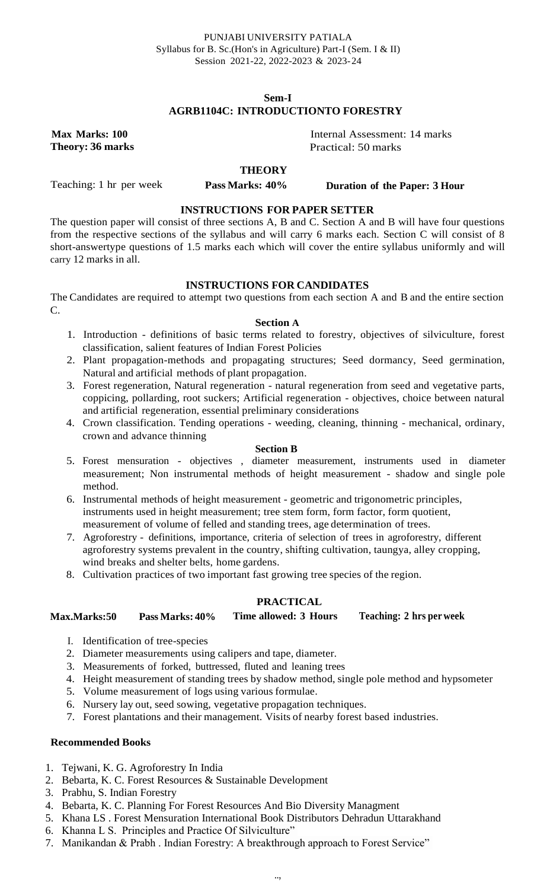### **Sem-I AGRB1104C: INTRODUCTIONTO FORESTRY**

**Max Marks: 100 Theory: 36 marks**

Internal Assessment: 14 marks

Practical: 50 marks

Teaching: 1 hr per week

**THEORY**

**Pass Marks: 40% Duration of the Paper: 3 Hour**

**INSTRUCTIONS FOR PAPER SETTER**

The question paper will consist of three sections A, B and C. Section A and B will have four questions from the respective sections of the syllabus and will carry 6 marks each. Section C will consist of 8 short-answertype questions of 1.5 marks each which will cover the entire syllabus uniformly and will carry 12 marks in all.

### **INSTRUCTIONS FOR CANDIDATES**

The Candidates are required to attempt two questions from each section A and B and the entire section C.

#### **Section A**

- 1. Introduction definitions of basic terms related to forestry, objectives of silviculture, forest classification, salient features of Indian Forest Policies
- 2. Plant propagation-methods and propagating structures; Seed dormancy, Seed germination, Natural and artificial methods of plant propagation.
- 3. Forest regeneration, Natural regeneration natural regeneration from seed and vegetative parts, coppicing, pollarding, root suckers; Artificial regeneration - objectives, choice between natural and artificial regeneration, essential preliminary considerations
- 4. Crown classification. Tending operations weeding, cleaning, thinning mechanical, ordinary, crown and advance thinning

#### **Section B**

- 5. Forest mensuration objectives , diameter measurement, instruments used in diameter measurement; Non instrumental methods of height measurement - shadow and single pole method.
- 6. Instrumental methods of height measurement geometric and trigonometric principles, instruments used in height measurement; tree stem form, form factor, form quotient, measurement of volume of felled and standing trees, age determination of trees.
- 7. Agroforestry definitions, importance, criteria of selection of trees in agroforestry, different agroforestry systems prevalent in the country, shifting cultivation, taungya, alley cropping, wind breaks and shelter belts, home gardens.
- 8. Cultivation practices of two important fast growing tree species of the region.

#### **PRACTICAL**

#### **Max.Marks:50 Pass Marks: 40% Time allowed: 3 Hours Teaching: 2 hrs per week**

- I. Identification of tree-species
- 2. Diameter measurements using calipers and tape, diameter.
- 3. Measurements of forked, buttressed, fluted and leaning trees
- 4. Height measurement of standing trees by shadow method, single pole method and hypsometer
- 5. Volume measurement of logs using various formulae.
- 6. Nursery lay out, seed sowing, vegetative propagation techniques.
- 7. Forest plantations and their management. Visits of nearby forest based industries.

- 1. Tejwani, K. G. Agroforestry In India
- 2. Bebarta, K. C. Forest Resources & Sustainable Development
- 3. Prabhu, S. Indian Forestry
- 4. Bebarta, K. C. Planning For Forest Resources And Bio Diversity Managment
- 5. Khana LS . Forest Mensuration International Book Distributors Dehradun Uttarakhand
- 6. Khanna L S. Principles and Practice Of Silviculture"
- 7. Manikandan & Prabh . Indian Forestry: A breakthrough approach to Forest Service"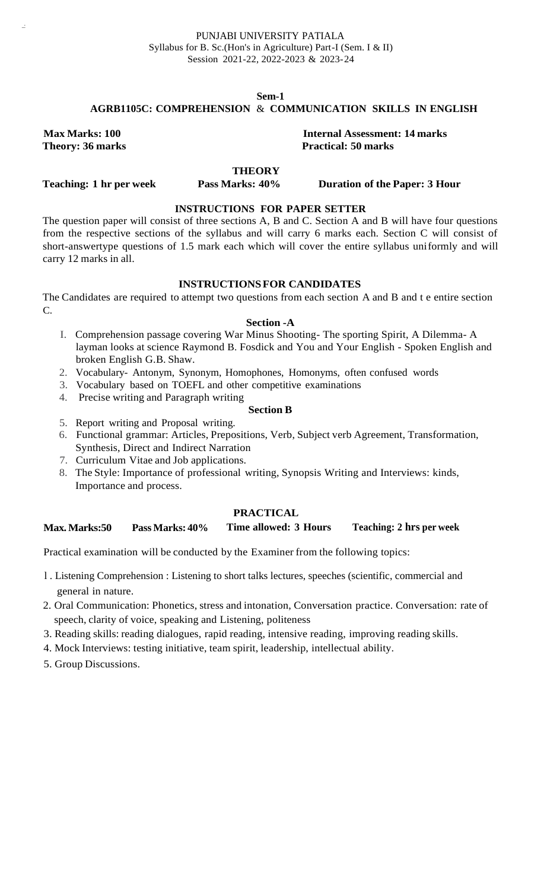#### **AGRB1105C: COMPREHENSION** & **COMMUNICATION SKILLS IN ENGLISH**

**Max Marks: 100 Theory: 36 marks**

..:

**Internal Assessment: 14 marks Practical: 50 marks**

### **THEORY**

**Teaching: 1 hr per week**

**Pass Marks: 40% Duration of the Paper: 3 Hour**

## **INSTRUCTIONS FOR PAPER SETTER**

The question paper will consist of three sections A, B and C. Section A and B will have four questions from the respective sections of the syllabus and will carry 6 marks each. Section C will consist of short-answertype questions of 1.5 mark each which will cover the entire syllabus uniformly and will carry 12 marks in all.

#### **INSTRUCTIONSFOR CANDIDATES**

The Candidates are required to attempt two questions from each section A and B and t e entire section C.

#### **Section -A**

- I. Comprehension passage covering War Minus Shooting- The sporting Spirit, A Dilemma- A layman looks at science Raymond B. Fosdick and You and Your English - Spoken English and broken English G.B. Shaw.
- 2. Vocabulary- Antonym, Synonym, Homophones, Homonyms, often confused words
- 3. Vocabulary based on TOEFL and other competitive examinations
- 4. Precise writing and Paragraph writing

#### **Section B**

- 5. Report writing and Proposal writing.
- 6. Functional grammar: Articles, Prepositions, Verb, Subject verb Agreement, Transformation, Synthesis, Direct and Indirect Narration
- 7. Curriculum Vitae and Job applications.
- 8. The Style: Importance of professional writing, Synopsis Writing and Interviews: kinds, Importance and process.

#### **PRACTICAL**

#### **Max.Marks:50 Pass Marks: 40% Time allowed: 3 Hours Teaching: 2 hrs per week**

Practical examination will be conducted by the Examiner from the following topics:

- l . Listening Comprehension : Listening to short talks lectures, speeches (scientific, commercial and general in nature.
- 2. Oral Communication: Phonetics, stress and intonation, Conversation practice. Conversation: rate of speech, clarity of voice, speaking and Listening, politeness
- 3. Reading skills: reading dialogues, rapid reading, intensive reading, improving reading skills.
- 4. Mock Interviews: testing initiative, team spirit, leadership, intellectual ability.
- 5. Group Discussions.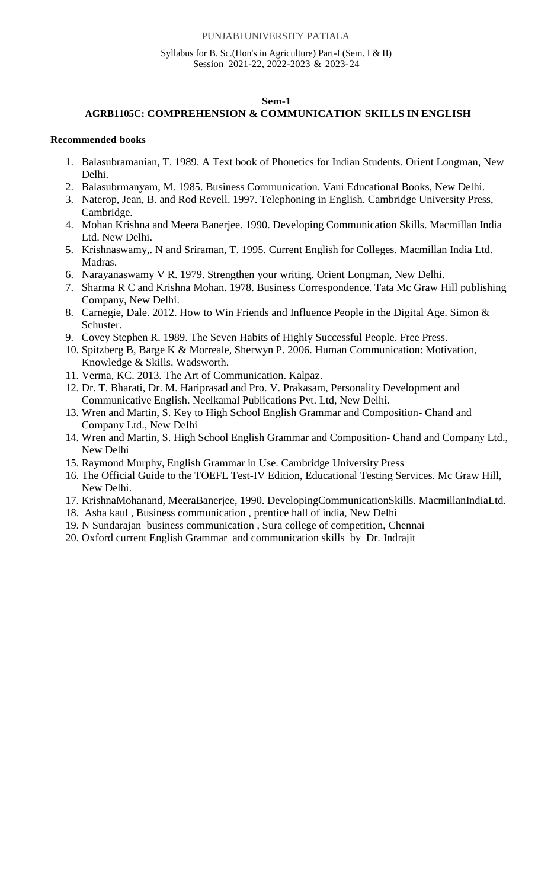#### PUNJABI UNIVERSITY PATIALA

#### Syllabus for B. Sc.(Hon's in Agriculture) Part-I (Sem. I & II) Session 2021-22, 2022-2023 & 2023-24

#### **Sem-1**

#### **AGRB1105C: COMPREHENSION & COMMUNICATION SKILLS IN ENGLISH**

- 1. Balasubramanian, T. 1989. A Text book of Phonetics for Indian Students. Orient Longman, New Delhi.
- 2. Balasubrmanyam, M. 1985. Business Communication. Vani Educational Books, New Delhi.
- 3. Naterop, Jean, B. and Rod Revell. 1997. Telephoning in English. Cambridge University Press, Cambridge.
- 4. Mohan Krishna and Meera Banerjee. 1990. Developing Communication Skills. Macmillan India Ltd. New Delhi.
- 5. Krishnaswamy,. N and Sriraman, T. 1995. Current English for Colleges. Macmillan India Ltd. Madras.
- 6. Narayanaswamy V R. 1979. Strengthen your writing. Orient Longman, New Delhi.
- 7. Sharma R C and Krishna Mohan. 1978. Business Correspondence. Tata Mc Graw Hill publishing Company, New Delhi.
- 8. Carnegie, Dale. 2012. How to Win Friends and Influence People in the Digital Age. Simon & Schuster.
- 9. Covey Stephen R. 1989. The Seven Habits of Highly Successful People. Free Press.
- 10. Spitzberg B, Barge K & Morreale, Sherwyn P. 2006. Human Communication: Motivation, Knowledge & Skills. Wadsworth.
- 11. Verma, KC. 2013. The Art of Communication. Kalpaz.
- 12. Dr. T. Bharati, Dr. M. Hariprasad and Pro. V. Prakasam, Personality Development and Communicative English. Neelkamal Publications Pvt. Ltd, New Delhi.
- 13. Wren and Martin, S. Key to High School English Grammar and Composition- Chand and Company Ltd., New Delhi
- 14. Wren and Martin, S. High School English Grammar and Composition- Chand and Company Ltd., New Delhi
- 15. Raymond Murphy, English Grammar in Use. Cambridge University Press
- 16. The Official Guide to the TOEFL Test-IV Edition, Educational Testing Services. Mc Graw Hill, New Delhi.
- 17. KrishnaMohanand, MeeraBanerjee, 1990. DevelopingCommunicationSkills. MacmillanIndiaLtd.
- 18. Asha kaul , Business communication , prentice hall of india, New Delhi
- 19. N Sundarajan business communication , Sura college of competition, Chennai
- 20. Oxford current English Grammar and communication skills by Dr. Indrajit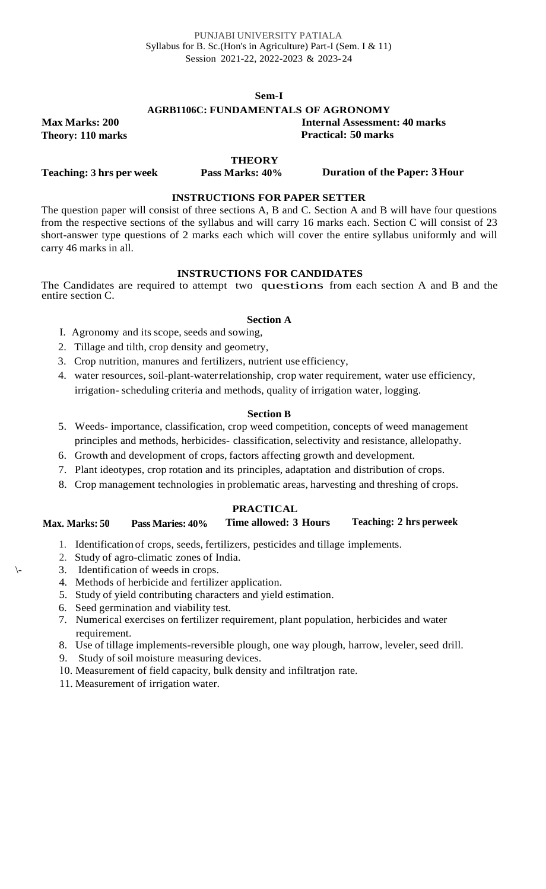#### **Sem-I**

#### **AGRB1106C: FUNDAMENTALS OF AGRONOMY**

**Max Marks: 200 Theory: 110 marks**

**Teaching: 3 hrs per week**

**Internal Assessment: 40 marks Practical: 50 marks**

**THEORY**

**Pass Marks: 40% Duration of the Paper: 3Hour**

#### **INSTRUCTIONS FOR PAPER SETTER**

The question paper will consist of three sections A, B and C. Section A and B will have four questions from the respective sections of the syllabus and will carry 16 marks each. Section C will consist of 23 short-answer type questions of 2 marks each which will cover the entire syllabus uniformly and will carry 46 marks in all.

#### **INSTRUCTIONS FOR CANDIDATES**

The Candidates are required to attempt two questions from each section A and B and the entire section C.

#### **Section A**

- I. Agronomy and its scope, seeds and sowing,
- 2. Tillage and tilth, crop density and geometry,
- 3. Crop nutrition, manures and fertilizers, nutrient use efficiency,
- 4. water resources, soil-plant-waterrelationship, crop water requirement, water use efficiency, irrigation- scheduling criteria and methods, quality of irrigation water, logging.

#### **Section B**

- 5. Weeds- importance, classification, crop weed competition, concepts of weed management principles and methods, herbicides- classification, selectivity and resistance, allelopathy.
- 6. Growth and development of crops, factors affecting growth and development.
- 7. Plant ideotypes, crop rotation and its principles, adaptation and distribution of crops.
- 8. Crop management technologies in problematic areas, harvesting and threshing of crops.

#### **PRACTICAL**

#### **Max. Marks: 50 Pass Maries: 40% Time allowed: 3 Hours Teaching: 2 hrs perweek**

- 1. Identification of crops, seeds, fertilizers, pesticides and tillage implements.
- 2. Study of agro-climatic zones of India.
- \- 3. Identification of weeds in crops.
- 4. Methods of herbicide and fertilizer application.
- 5. Study of yield contributing characters and yield estimation.
- 6. Seed germination and viability test.
- 7. Numerical exercises on fertilizer requirement, plant population, herbicides and water requirement.
- 8. Use of tillage implements-reversible plough, one way plough, harrow, leveler, seed drill.
- 9. Study of soil moisture measuring devices.
- l0. Measurement of field capacity, bulk density and infiltratjon rate.
- 11. Measurement of irrigation water.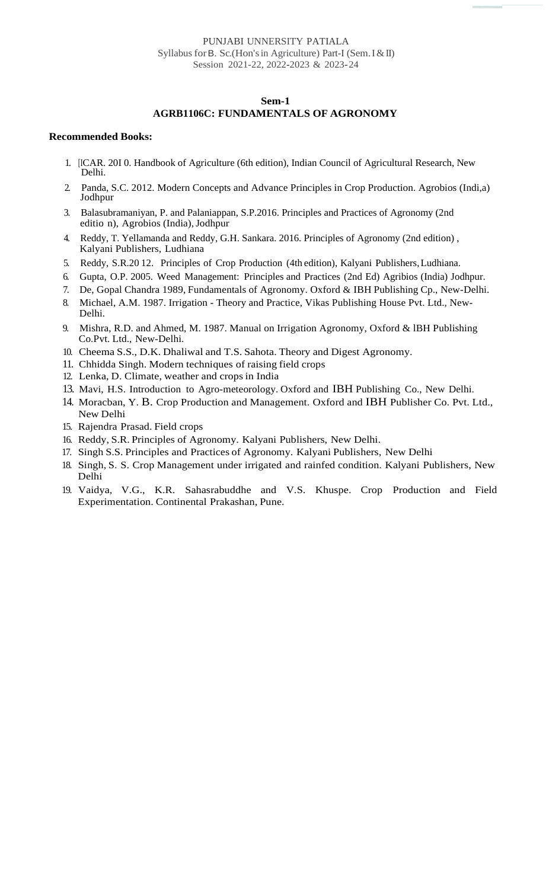#### PUNJABI UNNERSITY PATIALA Syllabus for B. Sc.(Hon's in Agriculture) Part-I (Sem. I & II) Session 2021-22, 2022-2023 & 2023-24

#### **Sem-1**

#### **AGRB1106C: FUNDAMENTALS OF AGRONOMY**

- 1. [ICAR. 20I 0. Handbook of Agriculture (6th edition), Indian Council of Agricultural Research, New Delhi.
- 2. Panda, S.C. 2012. Modern Concepts and Advance Principles in Crop Production. Agrobios (Indi,a) Jodhpur
- 3. Balasubramaniyan, P. and Palaniappan, S.P.2016. Principles and Practices of Agronomy (2nd editio n), Agrobios (India), Jodhpur
- 4. Reddy, T. Yellamanda and Reddy, G.H. Sankara. 2016. Principles of Agronomy (2nd edition) , Kalyani Publishers, Ludhiana
- 5. Reddy, S.R.20 12. Principles of Crop Production (4th edition), Kalyani Publishers,Ludhiana.
- 6. Gupta, O.P. 2005. Weed Management: Principles and Practices (2nd Ed) Agribios (India) Jodhpur.
- 7. De, Gopal Chandra 1989, Fundamentals of Agronomy. Oxford & IBH Publishing Cp., New-Delhi.
- 8. Michael, A.M. 1987. Irrigation Theory and Practice, Vikas Publishing House Pvt. Ltd., New-Delhi.
- 9. Mishra, R.D. and Ahmed, M. 1987. Manual on Irrigation Agronomy, Oxford & lBH Publishing Co.Pvt. Ltd., New-Delhi.
- 10. Cheema S.S., D.K. Dhaliwal and T.S. Sahota. Theory and Digest Agronomy.
- 11. Chhidda Singh. Modern techniques of raising field crops
- 12. Lenka, D. Climate, weather and crops in India
- 13. Mavi, H.S. Introduction to Agro-meteorology. Oxford and IBH Publishing Co., New Delhi.
- 14. Moracban, Y. B. Crop Production and Management. Oxford and IBH Publisher Co. Pvt. Ltd., New Delhi
- 15. Rajendra Prasad. Field crops
- 16. Reddy, S.R. Principles of Agronomy. Kalyani Publishers, New Delhi.
- 17. Singh S.S. Principles and Practices of Agronomy. Kalyani Publishers, New Delhi
- 18. Singh, S. S. Crop Management under irrigated and rainfed condition. Kalyani Publishers, New Delhi
- 19. Vaidya, V.G., K.R. Sahasrabuddhe and V.S. Khuspe. Crop Production and Field Experimentation. Continental Prakashan, Pune.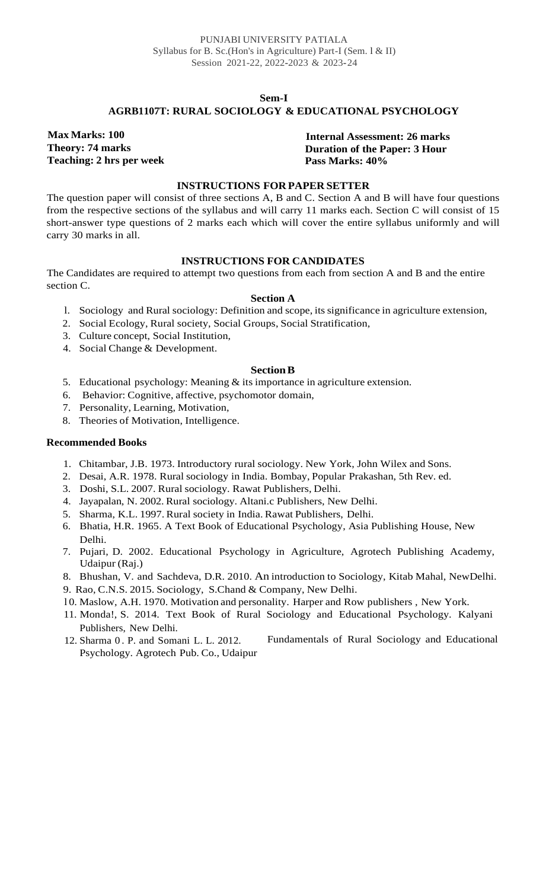#### **Sem-I**

#### **AGRB1107T: RURAL SOCIOLOGY & EDUCATIONAL PSYCHOLOGY**

**Max Marks: 100 Theory: 74 marks Teaching: 2 hrs per week**

**Internal Assessment: 26 marks Duration of the Paper: 3 Hour Pass Marks: 40%**

#### **INSTRUCTIONS FOR PAPER SETTER**

The question paper will consist of three sections A, B and C. Section A and B will have four questions from the respective sections of the syllabus and will carry 11 marks each. Section C will consist of 15 short-answer type questions of 2 marks each which will cover the entire syllabus uniformly and will carry 30 marks in all.

#### **INSTRUCTIONS FOR CANDIDATES**

The Candidates are required to attempt two questions from each from section A and B and the entire section C.

#### **Section A**

- l. Sociology and Rural sociology: Definition and scope, itssignificance in agriculture extension,
- 2. Social Ecology, Rural society, Social Groups, Social Stratification,
- 3. Culture concept, Social Institution,
- 4. Social Change & Development.

#### **SectionB**

- 5. Educational psychology: Meaning & its importance in agriculture extension.
- 6. Behavior: Cognitive, affective, psychomotor domain,
- 7. Personality, Learning, Motivation,
- 8. Theories of Motivation, Intelligence.

- 1. Chitambar, J.B. 1973. Introductory rural sociology. New York, John Wilex and Sons.
- 2. Desai, A.R. 1978. Rural sociology in India. Bombay, Popular Prakashan, 5th Rev. ed.
- 3. Doshi, S.L. 2007. Rural sociology. Rawat Publishers, Delhi.
- 4. Jayapalan, N. 2002. Rural sociology. Altani.c Publishers, New Delhi.
- 5. Sharma, K.L. 1997. Rural society in India. Rawat Publishers, Delhi.
- 6. Bhatia, H.R. 1965. A Text Book of Educational Psychology, Asia Publishing House, New Delhi.
- 7. Pujari, D. 2002. Educational Psychology in Agriculture, Agrotech Publishing Academy, Udaipur (Raj.)
- 8. Bhushan, V. and Sachdeva, D.R. 2010. An introduction to Sociology, Kitab Mahal, NewDelhi.
- 9. Rao, C.N.S. 2015. Sociology, S.Chand & Company, New Delhi.
- l 0. Maslow, A.H. 1970. Motivation and personality. Harper and Row publishers , New York.
- 11. Monda!, S. 2014. Text Book of Rural Sociology and Educational Psychology. Kalyani Publishers, New Delhi.
- 12. Sharma 0 . P. and Somani L. L. 2012. Psychology. Agrotech Pub. Co., Udaipur Fundamentals of Rural Sociology and Educational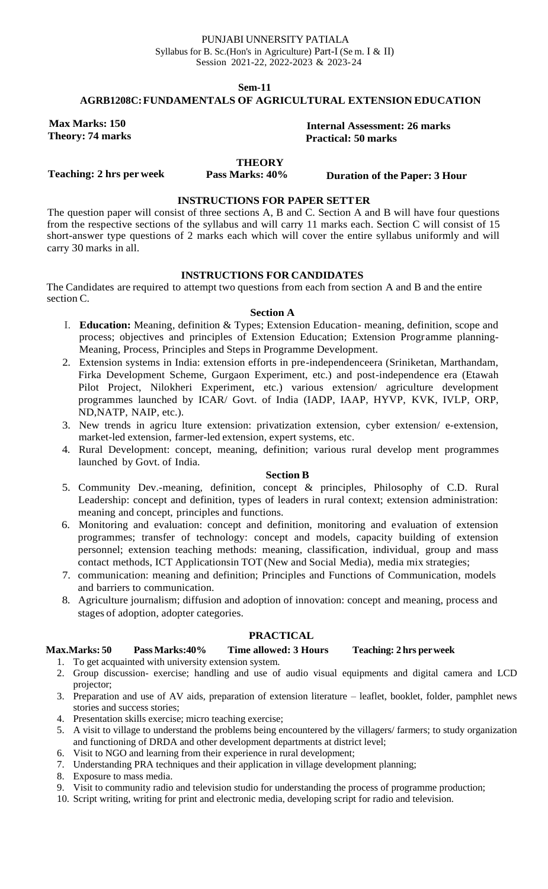#### PUNJABI UNNERSITY PATIALA Syllabus for B. Sc.(Hon's in Agriculture) Part-I (Se m. I & II) Session 2021-22, 2022-2023 & 2023-24

**Sem-11**

#### **AGRB1208C:FUNDAMENTALS OF AGRICULTURAL EXTENSION EDUCATION**

**Max Marks: 150 Theory: 74 marks**

**Internal Assessment: 26 marks Practical: 50 marks**

**THEORY**

**Teaching: 2 hrs per week**

**Pass Marks: 40% Duration of the Paper: 3 Hour**

### **INSTRUCTIONS FOR PAPER SETTER**

The question paper will consist of three sections A, B and C. Section A and B will have four questions from the respective sections of the syllabus and will carry 11 marks each. Section C will consist of 15 short-answer type questions of 2 marks each which will cover the entire syllabus uniformly and will carry 30 marks in all.

#### **INSTRUCTIONS FOR CANDIDATES**

The Candidates are required to attempt two questions from each from section A and B and the entire section C.

#### **Section A**

- I. **Education:** Meaning, definition & Types; Extension Education- meaning, definition, scope and process; objectives and principles of Extension Education; Extension Programme planning-Meaning, Process, Principles and Steps in Programme Development.
- 2. Extension systems in India: extension efforts in pre-independenceera (Sriniketan, Marthandam, Firka Development Scheme, Gurgaon Experiment, etc.) and post-independence era (Etawah Pilot Project, Nilokheri Experiment, etc.) various extension/ agriculture development programmes launched by ICAR/ Govt. of India (IADP, IAAP, HYVP, KVK, IVLP, ORP, ND,NATP, NAIP, etc.).
- 3. New trends in agricu lture extension: privatization extension, cyber extension/ e-extension, market-led extension, farmer-led extension, expert systems, etc.
- 4. Rural Development: concept, meaning, definition; various rural develop ment programmes launched by Govt. of India.

#### **Section B**

- 5. Community Dev.-meaning, definition, concept & principles, Philosophy of C.D. Rural Leadership: concept and definition, types of leaders in rural context; extension administration: meaning and concept, principles and functions.
- 6. Monitoring and evaluation: concept and definition, monitoring and evaluation of extension programmes; transfer of technology: concept and models, capacity building of extension personnel; extension teaching methods: meaning, classification, individual, group and mass contact methods, ICT Applicationsin TOT (New and Social Media), media mix strategies;
- 7. communication: meaning and definition; Principles and Functions of Communication, models and barriers to communication.
- 8. Agriculture journalism; diffusion and adoption of innovation: concept and meaning, process and stages of adoption, adopter categories.

#### **PRACTICAL**

#### **Max.Marks: 50 PassMarks:40% Time allowed: 3 Hours Teaching: 2 hrs perweek**

- 1. To get acquainted with university extension system.
- 2. Group discussion- exercise; handling and use of audio visual equipments and digital camera and LCD projector;
- 3. Preparation and use of AV aids, preparation of extension literature leaflet, booklet, folder, pamphlet news stories and success stories;
- 4. Presentation skills exercise; micro teaching exercise;
- 5. A visit to village to understand the problems being encountered by the villagers/ farmers; to study organization and functioning of DRDA and other development departments at district level;
- 6. Visit to NGO and learning from their experience in rural development;
- 7. Understanding PRA techniques and their application in village development planning;
- 8. Exposure to mass media.
- 9. Visit to community radio and television studio for understanding the process of programme production;
- 10. Script writing, writing for print and electronic media, developing script for radio and television.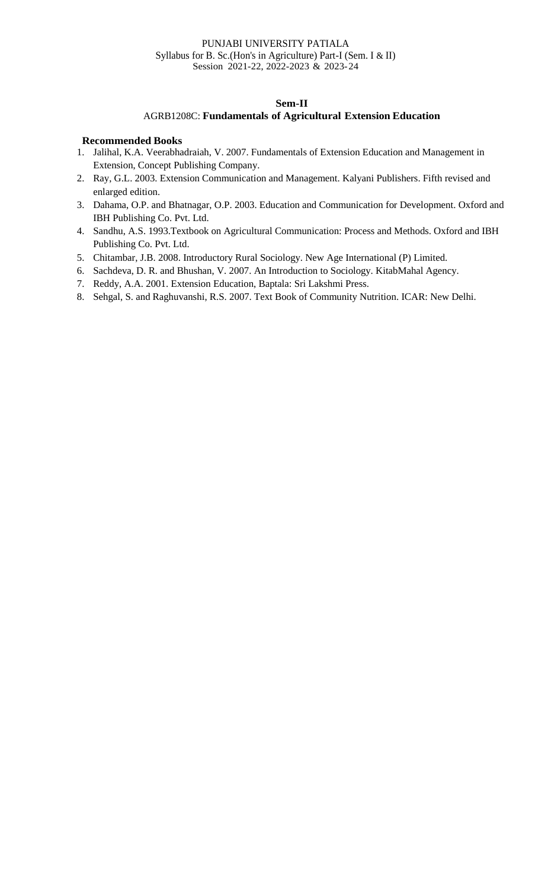#### PUNJABI UNIVERSITY PATIALA Syllabus for B. Sc.(Hon's in Agriculture) Part-I (Sem. I & II) Session 2021-22, 2022-2023 & 2023-24

#### **Sem-II**

#### AGRB1208C: **Fundamentals of Agricultural Extension Education**

- 1. Jalihal, K.A. Veerabhadraiah, V. 2007. Fundamentals of Extension Education and Management in Extension, Concept Publishing Company.
- 2. Ray, G.L. 2003. Extension Communication and Management. Kalyani Publishers. Fifth revised and enlarged edition.
- 3. Dahama, O.P. and Bhatnagar, O.P. 2003. Education and Communication for Development. Oxford and IBH Publishing Co. Pvt. Ltd.
- 4. Sandhu, A.S. 1993.Textbook on Agricultural Communication: Process and Methods. Oxford and IBH Publishing Co. Pvt. Ltd.
- 5. Chitambar, J.B. 2008. Introductory Rural Sociology. New Age International (P) Limited.
- 6. Sachdeva, D. R. and Bhushan, V. 2007. An Introduction to Sociology. KitabMahal Agency.
- 7. Reddy, A.A. 2001. Extension Education, Baptala: Sri Lakshmi Press.
- 8. Sehgal, S. and Raghuvanshi, R.S. 2007. Text Book of Community Nutrition. ICAR: New Delhi.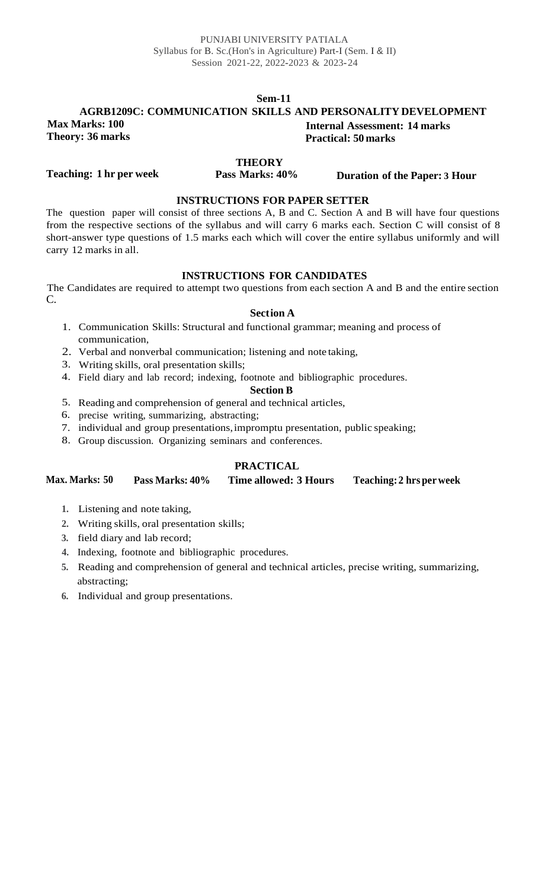#### **AGRB1209C: COMMUNICATION SKILLS AND PERSONALITY DEVELOPMENT Max Marks: 100 Theory: 36 marks Internal Assessment: 14 marks Practical: 50 marks**

**THEORY**

**Teaching: 1 hr per week**

**Pass Marks: 40% Duration of the Paper: 3 Hour**

#### **INSTRUCTIONS FOR PAPER SETTER**

The question paper will consist of three sections A, B and C. Section A and B will have four questions from the respective sections of the syllabus and will carry 6 marks each. Section C will consist of 8 short-answer type questions of 1.5 marks each which will cover the entire syllabus uniformly and will carry 12 marks in all.

#### **INSTRUCTIONS FOR CANDIDATES**

The Candidates are required to attempt two questions from each section A and B and the entire section C.

#### **Section A**

- 1. Communication Skills: Structural and functional grammar; meaning and process of communication,
- 2. Verbal and nonverbal communication; listening and note taking,
- 3. Writing skills, oral presentation skills;
- 4. Field diary and lab record; indexing, footnote and bibliographic procedures.

#### **Section B**

- 5. Reading and comprehension of general and technical articles,
- 6. precise writing, summarizing, abstracting;
- 7. individual and group presentations,impromptu presentation, public speaking;
- 8. Group discussion. Organizing seminars and conferences.

### **PRACTICAL**

#### **Max. Marks: 50 Pass Marks: 40% Time allowed: 3 Hours Teaching: 2 hrs perweek**

- **1.** Listening and note taking,
- **2.** Writing skills, oral presentation skills;
- **3.** field diary and lab record;
- **4.** Indexing, footnote and bibliographic procedures.
- **5.** Reading and comprehension of general and technical articles, precise writing, summarizing, abstracting;
- **6.** Individual and group presentations.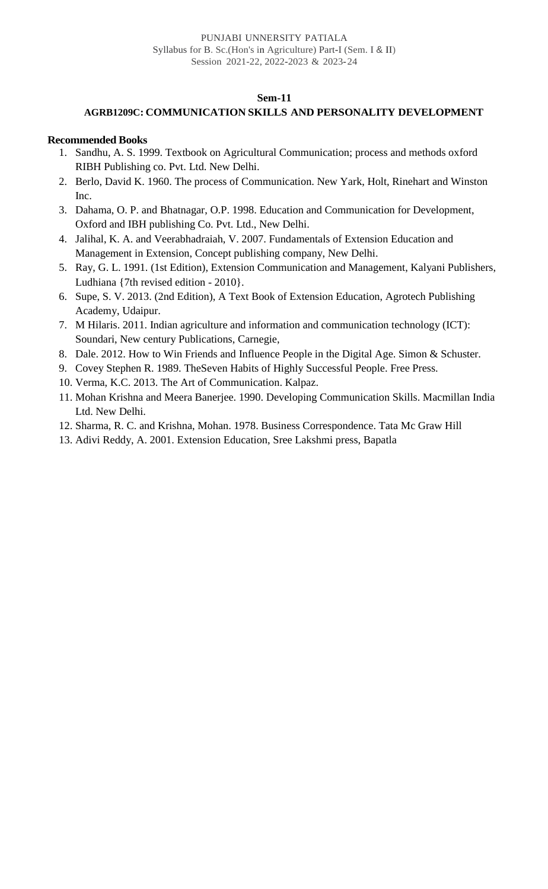#### **AGRB1209C: COMMUNICATION SKILLS AND PERSONALITY DEVELOPMENT**

- 1. Sandhu, A. S. 1999. Textbook on Agricultural Communication; process and methods oxford RIBH Publishing co. Pvt. Ltd. New Delhi.
- 2. Berlo, David K. 1960. The process of Communication. New Yark, Holt, Rinehart and Winston Inc.
- 3. Dahama, O. P. and Bhatnagar, O.P. 1998. Education and Communication for Development, Oxford and IBH publishing Co. Pvt. Ltd., New Delhi.
- 4. Jalihal, K. A. and Veerabhadraiah, V. 2007. Fundamentals of Extension Education and Management in Extension, Concept publishing company, New Delhi.
- 5. Ray, G. L. 1991. (1st Edition), Extension Communication and Management, Kalyani Publishers, Ludhiana {7th revised edition - 2010}.
- 6. Supe, S. V. 2013. (2nd Edition), A Text Book of Extension Education, Agrotech Publishing Academy, Udaipur.
- 7. M Hilaris. 2011. Indian agriculture and information and communication technology (ICT): Soundari, New century Publications, Carnegie,
- 8. Dale. 2012. How to Win Friends and Influence People in the Digital Age. Simon & Schuster.
- 9. Covey Stephen R. 1989. TheSeven Habits of Highly Successful People. Free Press.
- 10. Verma, K.C. 2013. The Art of Communication. Kalpaz.
- 11. Mohan Krishna and Meera Banerjee. 1990. Developing Communication Skills. Macmillan India Ltd. New Delhi.
- 12. Sharma, R. C. and Krishna, Mohan. 1978. Business Correspondence. Tata Mc Graw Hill
- 13. Adivi Reddy, A. 2001. Extension Education, Sree Lakshmi press, Bapatla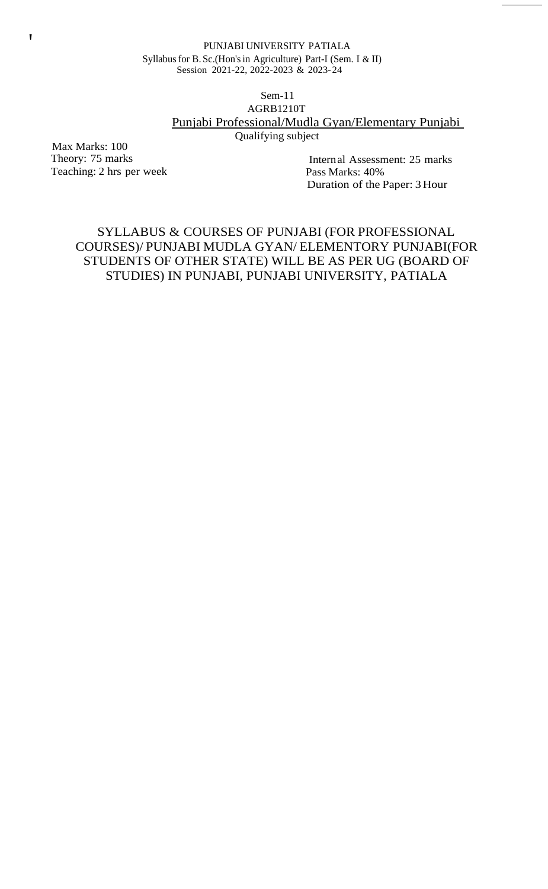#### PUNJABI UNIVERSITY PATIALA Syllabusfor B. Sc.(Hon'sin Agriculture) Part-I (Sem. I & II) Session 2021-22, 2022-2023 & 2023-24

#### Sem-11 AGRB1210T Punjabi Professional/Mudla Gyan/Elementary Punjabi Qualifying subject

Max Marks: 100 Theory: 75 marks Teaching: 2 hrs per week

 $\sqrt{ }$ 

Internal Assessment: 25 marks Pass Marks: 40% Duration of the Paper: 3 Hour

# SYLLABUS & COURSES OF PUNJABI (FOR PROFESSIONAL COURSES)/ PUNJABI MUDLA GYAN/ ELEMENTORY PUNJABI(FOR STUDENTS OF OTHER STATE) WILL BE AS PER UG (BOARD OF STUDIES) IN PUNJABI, PUNJABI UNIVERSITY, PATIALA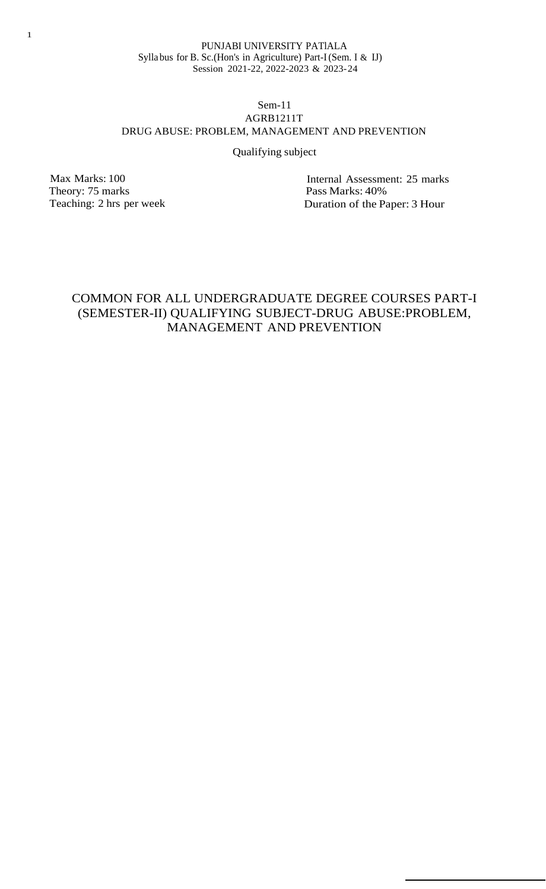#### Sem-11 AGRB1211T DRUG ABUSE: PROBLEM, MANAGEMENT AND PREVENTION

#### Qualifying subject

Max Marks: 100 Theory: 75 marks Teaching: 2 hrs per week

Internal Assessment: 25 marks Pass Marks: 40% Duration of the Paper: 3 Hour

# COMMON FOR ALL UNDERGRADUATE DEGREE COURSES PART-I (SEMESTER-II) QUALIFYING SUBJECT-DRUG ABUSE:PROBLEM, MANAGEMENT AND PREVENTION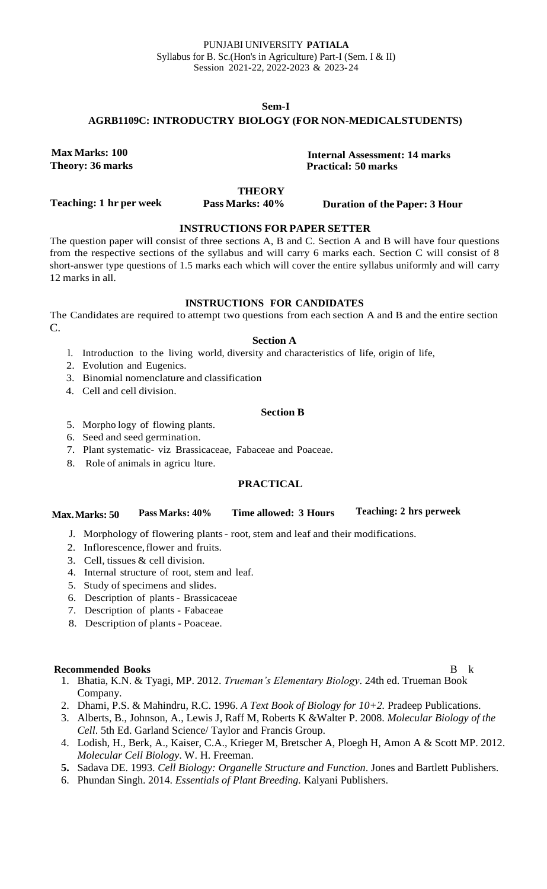#### **Sem-I AGRB1109C: INTRODUCTRY BIOLOGY (FOR NON-MEDICALSTUDENTS)**

**Max Marks: 100 Theory: 36 marks**

**Internal Assessment: 14 marks Practical: 50 marks**

#### **THEORY**

**Teaching: 1 hr per week**

**Pass Marks: 40% Duration of the Paper: 3 Hour**

### **INSTRUCTIONS FOR PAPER SETTER**

The question paper will consist of three sections A, B and C. Section A and B will have four questions from the respective sections of the syllabus and will carry 6 marks each. Section C will consist of 8 short-answer type questions of 1.5 marks each which will cover the entire syllabus uniformly and will carry 12 marks in all.

#### **INSTRUCTIONS FOR CANDIDATES**

The Candidates are required to attempt two questions from each section A and B and the entire section C.

#### **Section A**

- l. Introduction to the living world, diversity and characteristics of life, origin of life,
- 2. Evolution and Eugenics.
- 3. Binomial nomenclature and classification
- 4. Cell and cell division.

#### **Section B**

- 5. Morpho logy of flowing plants.
- 6. Seed and seed germination.
- 7. Plant systematic- viz Brassicaceae, Fabaceae and Poaceae.
- 8. Role of animals in agricu lture.

### **PRACTICAL**

| Max. Marks: 50 | Pass Marks: 40% | Time allowed: 3 Hours | <b>Teaching: 2 hrs perweek</b> |
|----------------|-----------------|-----------------------|--------------------------------|
|                |                 |                       |                                |

- J. Morphology of flowering plants root, stem and leaf and their modifications.
- 2. Inflorescence,flower and fruits.
- 3. Cell, tissues & cell division.
- 4. Internal structure of root, stem and leaf.
- 5. Study of specimens and slides.
- 6. Description of plants Brassicaceae
- 7. Description of plants Fabaceae
- 8. Description of plants Poaceae.

#### **Recommended Books** B k

- 1. Bhatia, K.N. & Tyagi, MP. 2012. *Trueman's Elementary Biology*. 24th ed. Trueman Book Company.
- 2. Dhami, P.S. & Mahindru, R.C. 1996. *A Text Book of Biology for 10+2.* Pradeep Publications.
- 3. Alberts, B., Johnson, A., Lewis J, Raff M, Roberts K &Walter P. 2008. *Molecular Biology of the Cell*. 5th Ed. Garland Science/ Taylor and Francis Group.
- 4. Lodish, H., Berk, A., Kaiser, C.A., Krieger M, Bretscher A, Ploegh H, Amon A & Scott MP. 2012. *Molecular Cell Biology*. W. H. Freeman.
- **5.** Sadava DE. 1993. *Cell Biology: Organelle Structure and Function*. Jones and Bartlett Publishers.
- 6. Phundan Singh. 2014. *Essentials of Plant Breeding.* Kalyani Publishers.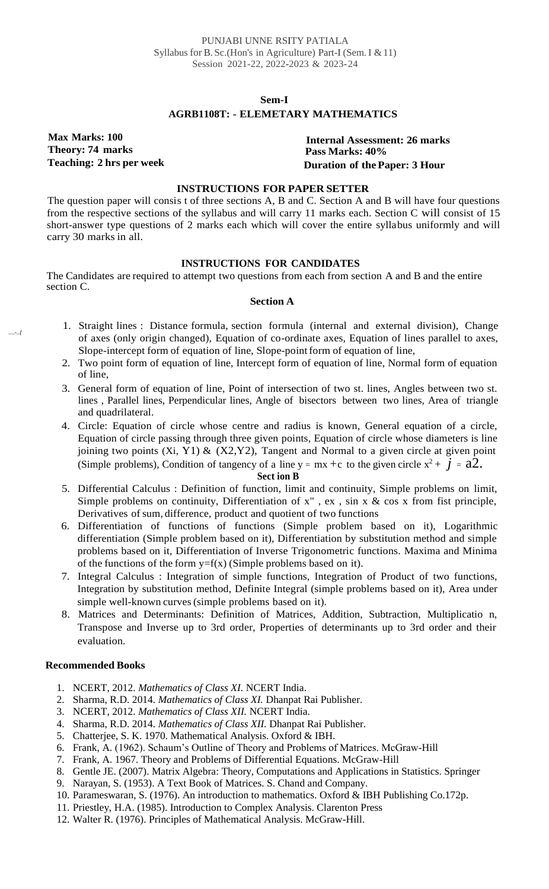### **Sem-I AGRB1108T: - ELEMETARY MATHEMATICS**

**Max Marks: 100 Theory: 74 marks**

*....-..{*

**Internal Assessment: 26 marks Pass Marks: 40% Teaching: 2 hrs per week Duration of the Paper: 3 Hour**

#### **INSTRUCTIONS FOR PAPER SETTER**

The question paper will consis t of three sections A, B and C. Section A and B will have four questions from the respective sections of the syllabus and will carry 11 marks each. Section C will consist of 15 short-answer type questions of 2 marks each which will cover the entire syllabus uniformly and will carry 30 marks in all.

#### **INSTRUCTIONS FOR CANDIDATES**

The Candidates are required to attempt two questions from each from section A and B and the entire section C.

#### **Section A**

- 1. Straight lines : Distance formula, section formula (internal and external division), Change of axes (only origin changed), Equation of co-ordinate axes, Equation of lines parallel to axes, Slope-intercept form of equation of line, Slope-point form of equation of line,
- 2. Two point form of equation of line, Intercept form of equation of line, Normal form of equation of line,
- 3. General form of equation of line, Point of intersection of two st. lines, Angles between two st. lines , Parallel lines, Perpendicular lines, Angle of bisectors between two lines, Area of triangle and quadrilateral.
- 4. Circle: Equation of circle whose centre and radius is known, General equation of a circle, Equation of circle passing through three given points, Equation of circle whose diameters is line joining two points (Xi, Y1)  $\&$  (X2,Y2), Tangent and Normal to a given circle at given point (Simple problems), Condition of tangency of a line  $y = mx + c$  to the given circle  $x^2 + \vec{j} = a\hat{2}$ .

# **Sect ion B**

- 5. Differential Calculus : Definition of function, limit and continuity, Simple problems on limit, Simple problems on continuity, Differentiation of  $x''$ ,  $ex$ ,  $sin x \& cos x$  from fist principle, Derivatives of sum, difference, product and quotient of two functions
- 6. Differentiation of functions of functions (Simple problem based on it), Logarithmic differentiation (Simple problem based on it), Differentiation by substitution method and simple problems based on it, Differentiation of Inverse Trigonometric functions. Maxima and Minima of the functions of the form  $y=f(x)$  (Simple problems based on it).
- 7. Integral Calculus : Integration of simple functions, Integration of Product of two functions, Integration by substitution method, Definite Integral (simple problems based on it), Area under simple well-known curves(simple problems based on it).
- 8. Matrices and Determinants: Definition of Matrices, Addition, Subtraction, Multiplicatio n, Transpose and Inverse up to 3rd order, Properties of determinants up to 3rd order and their evaluation.

- 1. NCERT, 2012. *Mathematics of Class XI.* NCERT India.
- 2. Sharma, R.D. 2014. *Mathematics of Class XI.* Dhanpat Rai Publisher.
- 3. NCERT, 2012. *Mathematics of Class XII.* NCERT India.
- 4. Sharma, R.D. 2014. *Mathematics of Class XII.* Dhanpat Rai Publisher.
- 5. Chatterjee, S. K. 1970. Mathematical Analysis. Oxford & IBH.
- 6. Frank, A. (1962). Schaum's Outline of Theory and Problems of Matrices. McGraw-Hill
- 7. Frank, A. 1967. Theory and Problems of Differential Equations. McGraw-Hill
- 8. Gentle JE. (2007). Matrix Algebra: Theory, Computations and Applications in Statistics. Springer
- 9. Narayan, S. (1953). A Text Book of Matrices. S. Chand and Company.
- 10. Parameswaran, S. (1976). An introduction to mathematics. Oxford & IBH Publishing Co.172p.
- 11. Priestley, H.A. (1985). Introduction to Complex Analysis. Clarenton Press
- 12. Walter R. (1976). Principles of Mathematical Analysis. McGraw-Hill.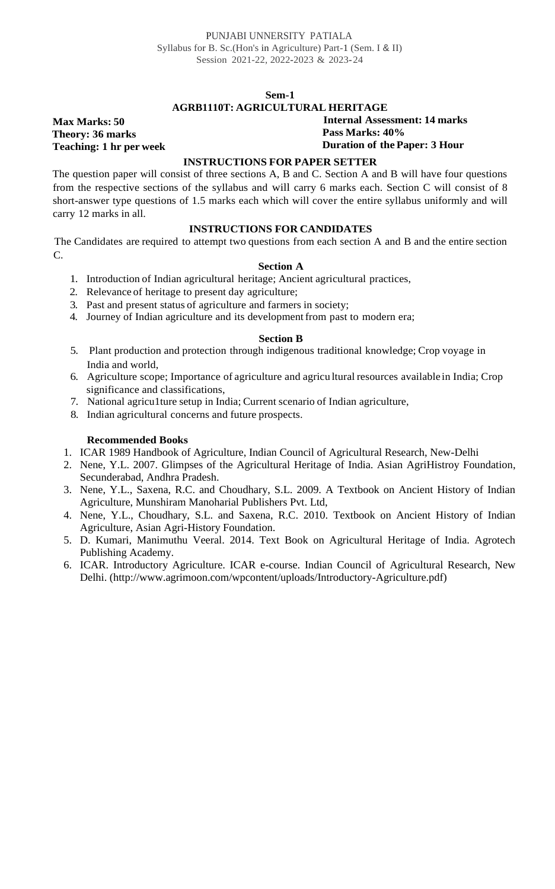#### **AGRB1110T: AGRICULTURAL HERITAGE**

**Internal Assessment: 14 marks Pass Marks: 40%**

#### **Duration of the Paper: 3 Hour**

#### **INSTRUCTIONS FOR PAPER SETTER**

The question paper will consist of three sections A, B and C. Section A and B will have four questions from the respective sections of the syllabus and will carry 6 marks each. Section C will consist of 8 short-answer type questions of 1.5 marks each which will cover the entire syllabus uniformly and will carry 12 marks in all.

#### **INSTRUCTIONS FOR CANDIDATES**

The Candidates are required to attempt two questions from each section A and B and the entire section C.

#### **Section A**

- 1. Introduction of Indian agricultural heritage; Ancient agricultural practices,
- 2. Relevance of heritage to present day agriculture;
- 3. Past and present status of agriculture and farmers in society;
- 4. Journey of Indian agriculture and its development from past to modern era;

#### **Section B**

- 5. Plant production and protection through indigenous traditional knowledge; Crop voyage in India and world,
- 6. Agriculture scope; Importance of agriculture and agricu ltural resources available in India; Crop significance and classifications,
- 7. National agricu1ture setup in India; Current scenario of Indian agriculture,
- 8. Indian agricultural concerns and future prospects.

#### **Recommended Books**

**Max Marks: 50 Theory: 36 marks**

**Teaching: 1 hr per week**

- 1. ICAR 1989 Handbook of Agriculture, Indian Council of Agricultural Research, New-Delhi
- 2. Nene, Y.L. 2007. Glimpses of the Agricultural Heritage of India. Asian AgriHistroy Foundation, Secunderabad, Andhra Pradesh.
- 3. Nene, Y.L., Saxena, R.C. and Choudhary, S.L. 2009. A Textbook on Ancient History of Indian Agriculture, Munshiram Manoharial Publishers Pvt. Ltd,
- 4. Nene, Y.L., Choudhary, S.L. and Saxena, R.C. 2010. Textbook on Ancient History of Indian Agriculture, Asian Agri-History Foundation.
- 5. D. Kumari, Manimuthu Veeral. 2014. Text Book on Agricultural Heritage of India. Agrotech Publishing Academy.
- 6. ICAR. Introductory Agriculture. ICAR e-course. Indian Council of Agricultural Research, New Delhi. (http://www.agrimoon.com/wpcontent/uploads/Introductory-Agriculture.pdf)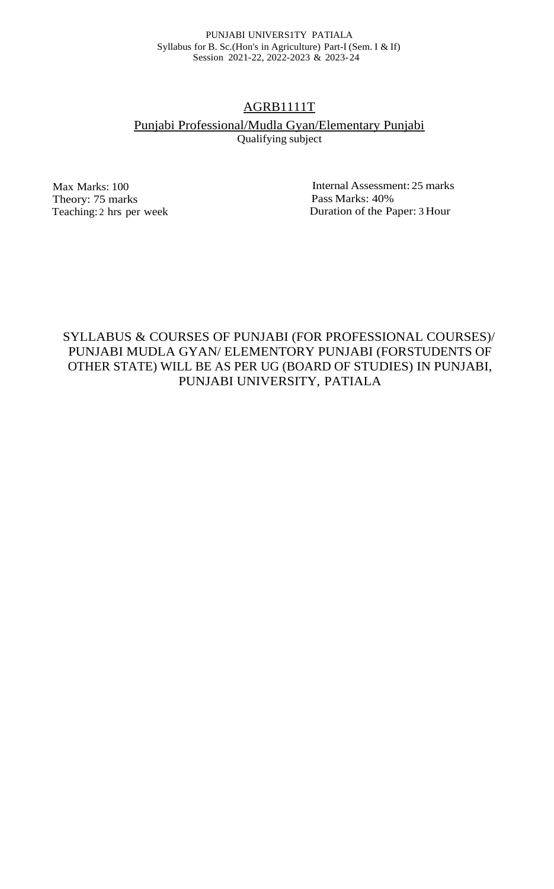#### PUNJABI UNIVERS1TY PATIALA Syllabus for B. Sc.(Hon's in Agriculture) Part-I (Sem. I & If) Session 2021-22, 2022-2023 & 2023-24

# AGRB1111T

# Punjabi Professional/Mudla Gyan/Elementary Punjabi

Qualifying subject

Max Marks: 100 Theory: 75 marks Teaching: 2 hrs per week

Internal Assessment: 25 marks Pass Marks: 40% Duration of the Paper: 3 Hour

SYLLABUS & COURSES OF PUNJABI (FOR PROFESSIONAL COURSES)/ PUNJABI MUDLA GYAN/ ELEMENTORY PUNJABI (FORSTUDENTS OF OTHER STATE) WILL BE AS PER UG (BOARD OF STUDIES) IN PUNJABI, PUNJABI UNIVERSITY, PATIALA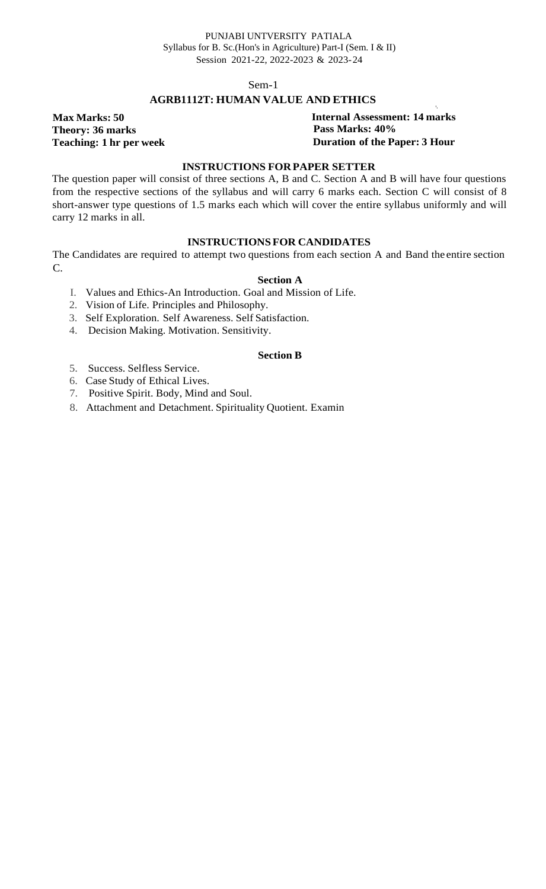### **AGRB1112T: HUMAN VALUE AND ETHICS**

**Max Marks: 50 Theory: 36 marks Teaching: 1 hr per week** '· **Internal Assessment: 14 marks Pass Marks: 40% Duration of the Paper: 3 Hour**

#### **INSTRUCTIONS FOR PAPER SETTER**

The question paper will consist of three sections A, B and C. Section A and B will have four questions from the respective sections of the syllabus and will carry 6 marks each. Section C will consist of 8 short-answer type questions of 1.5 marks each which will cover the entire syllabus uniformly and will carry 12 marks in all.

#### **INSTRUCTIONS FOR CANDIDATES**

The Candidates are required to attempt two questions from each section A and Band the entire section C.

#### **Section A**

I. Values and Ethics-An Introduction. Goal and Mission of Life.

- 2. Vision of Life. Principles and Philosophy.
- 3. Self Exploration. Self Awareness. Self Satisfaction.
- 4. Decision Making. Motivation. Sensitivity.

#### **Section B**

- 5. Success. Selfless Service.
- 6. Case Study of Ethical Lives.
- 7. Positive Spirit. Body, Mind and Soul.
- 8. Attachment and Detachment. Spirituality Quotient. Examin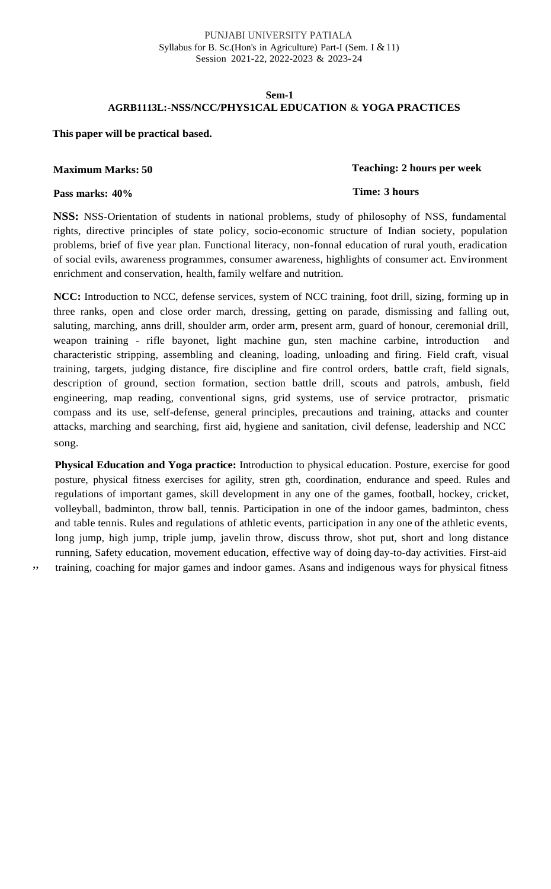#### PUNJABI UNIVERSITY PATIALA Syllabus for B. Sc.(Hon's in Agriculture) Part-I (Sem. I & 11) Session 2021-22, 2022-2023 & 2023-24

#### **Sem-1 AGRB1113L:-NSS/NCC/PHYS1CAL EDUCATION** & **YOGA PRACTICES**

#### **This paper will be practical based.**

#### **Maximum Marks: 50**

#### **Teaching: 2 hours per week**

**Time: 3 hours**

#### **Pass marks: 40%**

**NSS:** NSS-Orientation of students in national problems, study of philosophy of NSS, fundamental rights, directive principles of state policy, socio-economic structure of Indian society, population problems, brief of five year plan. Functional literacy, non-fonnal education of rural youth, eradication of social evils, awareness programmes, consumer awareness, highlights of consumer act. Environment enrichment and conservation, health, family welfare and nutrition.

**NCC:** Introduction to NCC, defense services, system of NCC training, foot drill, sizing, forming up in three ranks, open and close order march, dressing, getting on parade, dismissing and falling out, saluting, marching, anns drill, shoulder arm, order arm, present arm, guard of honour, ceremonial drill, weapon training - rifle bayonet, light machine gun, sten machine carbine, introduction characteristic stripping, assembling and cleaning, loading, unloading and firing. Field craft, visual training, targets, judging distance, fire discipline and fire control orders, battle craft, field signals, description of ground, section formation, section battle drill, scouts and patrols, ambush, field engineering, map reading, conventional signs, grid systems, use of service protractor, prismatic compass and its use, self-defense, general principles, precautions and training, attacks and counter attacks, marching and searching, first aid, hygiene and sanitation, civil defense, leadership and NCC song.

**Physical Education and Yoga practice:** Introduction to physical education. Posture, exercise for good posture, physical fitness exercises for agility, stren gth, coordination, endurance and speed. Rules and regulations of important games, skill development in any one of the games, football, hockey, cricket, volleyball, badminton, throw ball, tennis. Participation in one of the indoor games, badminton, chess and table tennis. Rules and regulations of athletic events, participation in any one of the athletic events, long jump, high jump, triple jump, javelin throw, discuss throw, shot put, short and long distance running, Safety education, movement education, effective way of doing day-to-day activities. First-aid ,, training, coaching for major games and indoor games. Asans and indigenous ways for physical fitness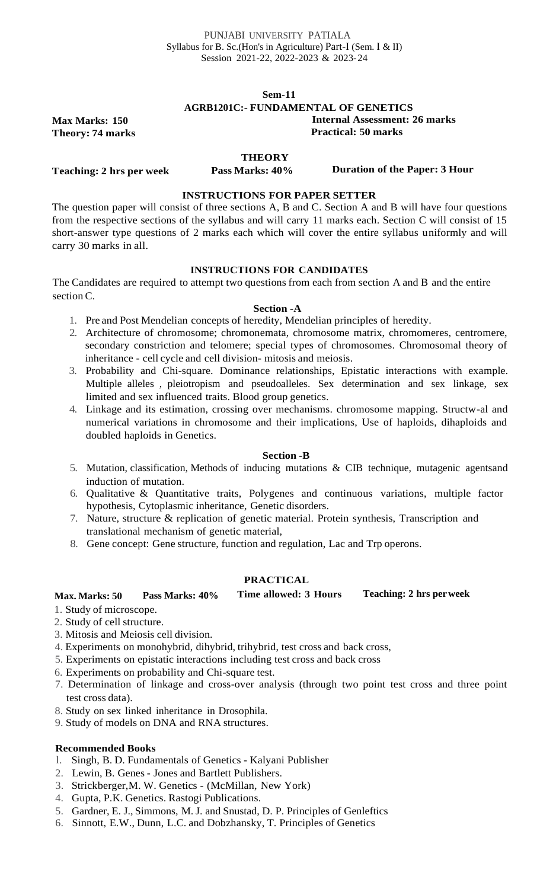**Max Marks: 150 Theory: 74 marks**

**Teaching: 2 hrs per week**

#### **AGRB1201C:- FUNDAMENTAL OF GENETICS**

**Internal Assessment: 26 marks Practical: 50 marks**

**Pass Marks: 40% Duration of the Paper: 3 Hour**

#### **INSTRUCTIONS FOR PAPER SETTER**

**THEORY**

The question paper will consist of three sections A, B and C. Section A and B will have four questions from the respective sections of the syllabus and will carry 11 marks each. Section C will consist of 15 short-answer type questions of 2 marks each which will cover the entire syllabus uniformly and will carry 30 marks in all.

#### **INSTRUCTIONS FOR CANDIDATES**

The Candidates are required to attempt two questions from each from section A and B and the entire section C.

#### **Section -A**

- 1. Pre and Post Mendelian concepts of heredity, Mendelian principles of heredity.
- 2. Architecture of chromosome; chromonemata, chromosome matrix, chromomeres, centromere, secondary constriction and telomere; special types of chromosomes. Chromosomal theory of inheritance - cell cycle and cell division- mitosis and meiosis.
- 3. Probability and Chi-square. Dominance relationships, Epistatic interactions with example. Multiple alleles , pleiotropism and pseudoalleles. Sex determination and sex linkage, sex limited and sex influenced traits. Blood group genetics.
- 4. Linkage and its estimation, crossing over mechanisms. chromosome mapping. Structw-al and numerical variations in chromosome and their implications, Use of haploids, dihaploids and doubled haploids in Genetics.

#### **Section -B**

- 5. Mutation, classification, Methods of inducing mutations & CIB technique, mutagenic agentsand induction of mutation.
- 6. Qualitative & Quantitative traits, Polygenes and continuous variations, multiple factor hypothesis, Cytoplasmic inheritance, Genetic disorders.
- 7. Nature, structure & replication of genetic material. Protein synthesis, Transcription and translational mechanism of genetic material,
- 8. Gene concept: Gene structure, function and regulation, Lac and Trp operons.

### **PRACTICAL**

#### **Max. Marks: 50 Pass Marks: 40% Time allowed: 3 Hours Teaching: 2 hrs perweek**

- 1. Study of microscope.
- 2. Study of cell structure.
- 3. Mitosis and Meiosis cell division.
- 4. Experiments on monohybrid, dihybrid, trihybrid, test cross and back cross,
- 5. Experiments on epistatic interactions including test cross and back cross
- 6. Experiments on probability and Chi-square test.
- 7. Determination of linkage and cross-over analysis (through two point test cross and three point test cross data).
- 8. Study on sex linked inheritance in Drosophila.
- 9. Study of models on DNA and RNA structures.

- l. Singh, B. D. Fundamentals of Genetics Kalyani Publisher
- 2. Lewin, B. Genes Jones and Bartlett Publishers.
- 3. Strickberger,M. W. Genetics (McMillan, New York)
- 4. Gupta, P.K. Genetics. Rastogi Publications.
- 5. Gardner, E. J., Simmons, M. J. and Snustad, D. P. Principles of Genleftics
- 6. Sinnott, E.W., Dunn, L.C. and Dobzhansky, T. Principles of Genetics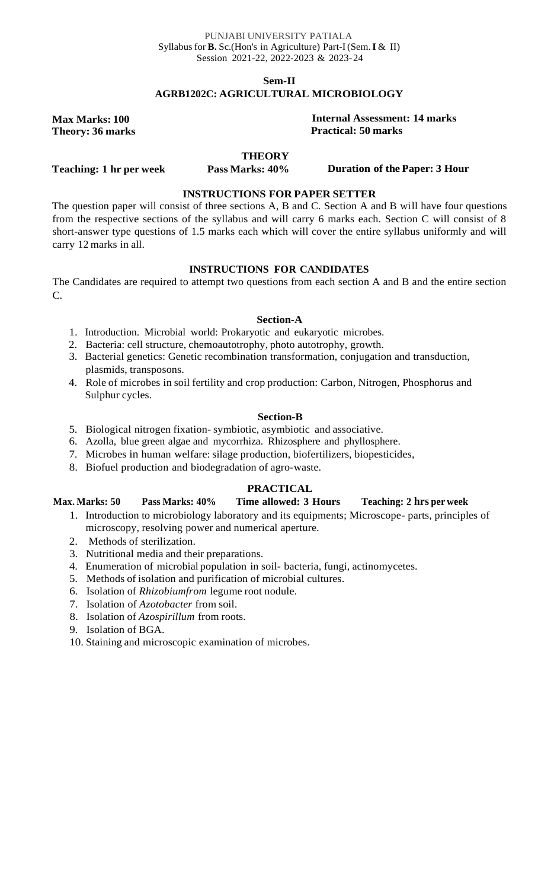#### PUNJABI UNIVERSITY PATIALA Syllabus for **B.** Sc.(Hon's in Agriculture) Part-I(Sem.**I** & II) Session 2021-22, 2022-2023 & 2023-24

**Sem-II**

### **AGRB1202C: AGRICULTURAL MICROBIOLOGY**

**Max Marks: 100 Theory: 36 marks**

#### **Internal Assessment: 14 marks Practical: 50 marks**

#### **THEORY**

**Teaching: 1 hr per week**

**Pass Marks: 40% Duration of the Paper: 3 Hour**

### **INSTRUCTIONS FOR PAPER SETTER**

The question paper will consist of three sections A, B and C. Section A and B will have four questions from the respective sections of the syllabus and will carry 6 marks each. Section C will consist of 8 short-answer type questions of 1.5 marks each which will cover the entire syllabus uniformly and will carry 12 marks in all.

#### **INSTRUCTIONS FOR CANDIDATES**

The Candidates are required to attempt two questions from each section A and B and the entire section  $C_{\cdot}$ 

#### **Section-A**

- 1. Introduction. Microbial world: Prokaryotic and eukaryotic microbes.
- 2. Bacteria: cell structure, chemoautotrophy, photo autotrophy, growth.
- 3. Bacterial genetics: Genetic recombination transformation, conjugation and transduction, plasmids, transposons.
- 4. Role of microbes in soil fertility and crop production: Carbon, Nitrogen, Phosphorus and Sulphur cycles.

#### **Section-B**

- 5. Biological nitrogen fixation- symbiotic, asymbiotic and associative.
- 6. Azolla, blue green algae and mycorrhiza. Rhizosphere and phyllosphere.
- 7. Microbes in human welfare: silage production, biofertilizers, biopesticides,
- 8. Biofuel production and biodegradation of agro-waste.

#### **PRACTICAL**

#### **Max. Marks: 50 Pass Marks: 40% Time allowed: 3 Hours Teaching: 2 hrs per week**

- 1. Introduction to microbiology laboratory and its equipments; Microscope- parts, principles of microscopy, resolving power and numerical aperture.
- 2. Methods of sterilization.
- 3. Nutritional media and their preparations.
- 4. Enumeration of microbial population in soil- bacteria, fungi, actinomycetes.
- 5. Methods of isolation and purification of microbial cultures.
- 6. Isolation of *Rhizobiumfrom* legume root nodule.
- 7. Isolation of *Azotobacter* from soil.
- 8. Isolation of *Azospirillum* from roots.
- 9. Isolation of BGA.
- 10. Staining and microscopic examination of microbes.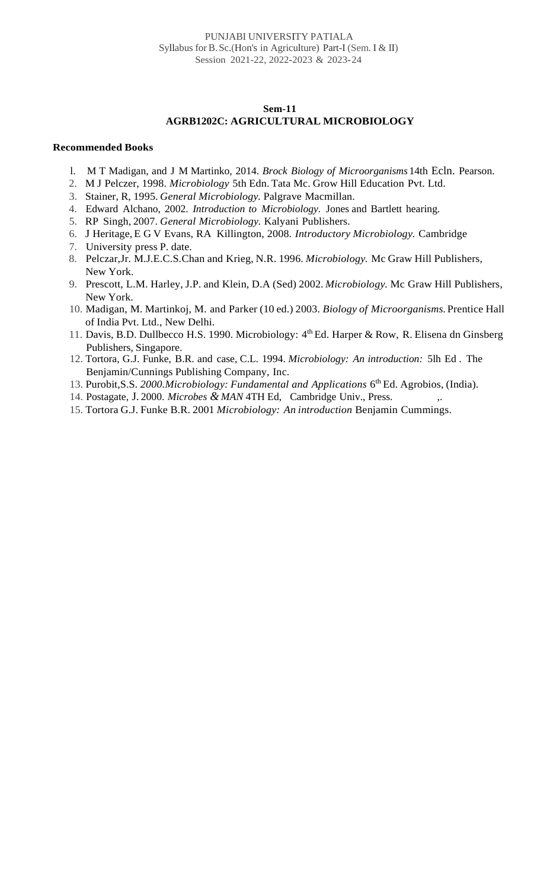#### **AGRB1202C: AGRICULTURAL MICROBIOLOGY**

- l. M T Madigan, and J M Martinko, 2014. *Brock Biology of Microorganisms* 14th Ecln. Pearson.
- 2. M J Pelczer, 1998. *Microbiology* 5th Edn. Tata Mc. Grow Hill Education Pvt. Ltd.
- 3. Stainer, R, 1995. *General Microbiology.* Palgrave Macmillan.
- 4. Edward Alchano, 2002. *Introduction to Microbiology.* Jones and Bartlett hearing.
- 5. RP Singh, 2007. *General Microbiology.* Kalyani Publishers.
- 6. J Heritage, E G V Evans, RA Killington, 2008. *Introductory Microbiology.* Cambridge
- 7. University press P. date.
- 8. Pelczar,Jr. M.J.E.C.S.Chan and Krieg, N.R. 1996. *Microbiology.* Mc Graw Hill Publishers, New York.
- 9. Prescott, L.M. Harley, J.P. and Klein, D.A (Sed) 2002. *Microbiology.* Mc Graw Hill Publishers, New York.
- 10. Madigan, M. Martinkoj, M. and Parker (10 ed.) 2003. *Biology of Microorganisms.* Prentice Hall of India Pvt. Ltd., New Delhi.
- 11. Davis, B.D. Dullbecco H.S. 1990. Microbiology: 4<sup>th</sup> Ed. Harper & Row, R. Elisena dn Ginsberg Publishers, Singapore.
- 12. Tortora, G.J. Funke, B.R. and case, C.L. 1994. *Microbiology: An introduction:* 5lh Ed . The Benjamin/Cunnings Publishing Company, Inc.
- 13. Purobit, S.S. 2000. Microbiology: Fundamental and Applications 6<sup>th</sup> Ed. Agrobios, (India).
- 14. Postagate, J. 2000. *Microbes & MAN* 4TH Ed, Cambridge Univ., Press. ,.
- 15. Tortora G.J. Funke B.R. 2001 *Microbiology: An introduction* Benjamin Cummings.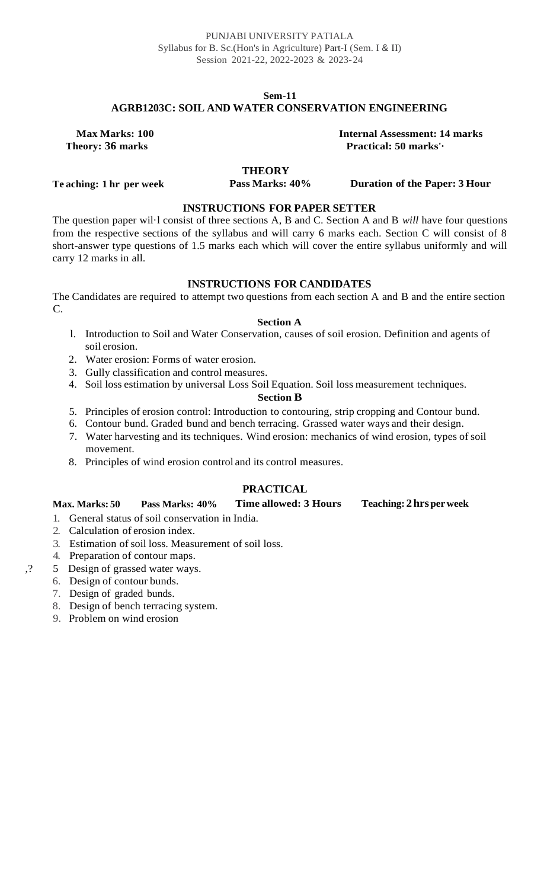#### **Sem-11 AGRB1203C: SOIL AND WATER CONSERVATION ENGINEERING**

**Max Marks: 100 Theory: 36 marks**

**Internal Assessment: 14 marks Practical: 50 marks'·**

## **THEORY**

**Te aching: 1 hr per week**

**Pass Marks: 40% Duration of the Paper: 3 Hour**

#### **INSTRUCTIONS FOR PAPER SETTER**

The question paper wil·l consist of three sections A, B and C. Section A and B *will* have four questions from the respective sections of the syllabus and will carry 6 marks each. Section C will consist of 8 short-answer type questions of 1.5 marks each which will cover the entire syllabus uniformly and will carry 12 marks in all.

### **INSTRUCTIONS FOR CANDIDATES**

The Candidates are required to attempt two questions from each section A and B and the entire section C.

#### **Section A**

- l. Introduction to Soil and Water Conservation, causes of soil erosion. Definition and agents of soil erosion.
- 2. Water erosion: Forms of water erosion.
- 3. Gully classification and control measures.
- 4. Soil loss estimation by universal Loss Soil Equation. Soil loss measurement techniques.

#### **Section B**

- 5. Principles of erosion control: Introduction to contouring, strip cropping and Contour bund.
- 6. Contour bund. Graded bund and bench terracing. Grassed water ways and their design.
- 7. Water harvesting and its techniques. Wind erosion: mechanics of wind erosion, types of soil movement.
- 8. Principles of wind erosion control and its control measures.

## **PRACTICAL**

#### **Max. Marks: 50 Pass Marks: 40% Time allowed: 3 Hours Teaching: 2hrsperweek**

- 1. General status of soil conservation in India.
- 2. Calculation of erosion index.
- 3. Estimation of soil loss. Measurement of soil loss.
- 4. Preparation of contour maps.
- ,? 5 Design of grassed water ways.
	- 6. Design of contour bunds.
	- 7. Design of graded bunds.
	- 8. Design of bench terracing system.
	- 9. Problem on wind erosion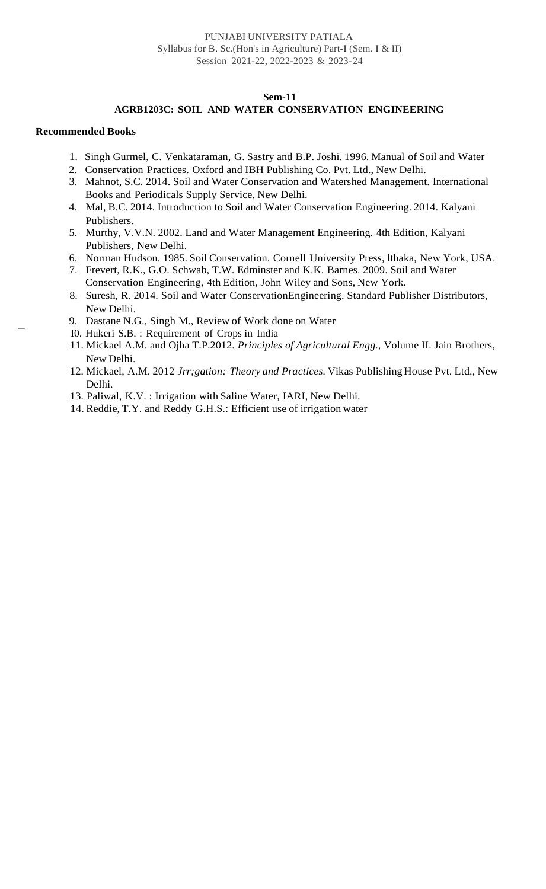#### **AGRB1203C: SOIL AND WATER CONSERVATION ENGINEERING**

- 1. Singh Gurmel, C. Venkataraman, G. Sastry and B.P. Joshi. 1996. Manual of Soil and Water
- 2. Conservation Practices. Oxford and IBH Publishing Co. Pvt. Ltd., New Delhi.
- 3. Mahnot, S.C. 2014. Soil and Water Conservation and Watershed Management. International Books and Periodicals Supply Service, New Delhi.
- 4. Mal, B.C. 2014. Introduction to Soil and Water Conservation Engineering. 2014. Kalyani Publishers.
- 5. Murthy, V.V.N. 2002. Land and Water Management Engineering. 4th Edition, Kalyani Publishers, New Delhi.
- 6. Norman Hudson. 1985. Soil Conservation. Cornell University Press, lthaka, New York, USA.
- 7. Frevert, R.K., G.O. Schwab, T.W. Edminster and K.K. Barnes. 2009. Soil and Water Conservation Engineering, 4th Edition, John Wiley and Sons, New York.
- 8. Suresh, R. 2014. Soil and Water ConservationEngineering. Standard Publisher Distributors, New Delhi.
- 9. Dastane N.G., Singh M., Review of Work done on Water
- I0. Hukeri S.B. : Requirement of Crops in India
- 11. Mickael A.M. and Ojha T.P.2012. *Principles of Agricultural Engg.,* Volume II. Jain Brothers, New Delhi.
- 12. Mickael, A.M. 2012 *Jrr;gation: Theory and Practices.* Vikas Publishing House Pvt. Ltd., New Delhi.
- 13. Paliwal, K.V. : Irrigation with Saline Water, IARI, New Delhi.
- 14. Reddie, T.Y. and Reddy G.H.S.: Efficient use of irrigation water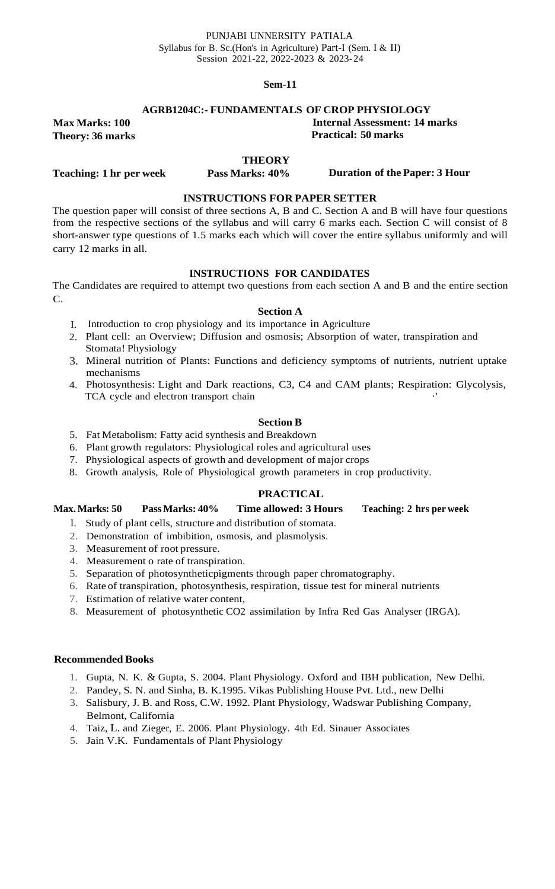#### **AGRB1204C:- FUNDAMENTALS OF CROP PHYSIOLOGY**

**Internal Assessment: 14 marks Practical: 50 marks**

**Theory: 36 marks**

**Max Marks: 100**

#### **THEORY**

**Teaching: 1 hr per week**

**Pass Marks: 40% Duration of the Paper: 3 Hour**

#### **INSTRUCTIONS FOR PAPER SETTER**

The question paper will consist of three sections A, B and C. Section A and B will have four questions from the respective sections of the syllabus and will carry 6 marks each. Section C will consist of 8 short-answer type questions of 1.5 marks each which will cover the entire syllabus uniformly and will carry 12 marks in all.

#### **INSTRUCTIONS FOR CANDIDATES**

The Candidates are required to attempt two questions from each section A and B and the entire section C.

#### **Section A**

- I. Introduction to crop physiology and its importance in Agriculture
- 2. Plant cell: an Overview; Diffusion and osmosis; Absorption of water, transpiration and Stomata! Physiology
- 3. Mineral nutrition of Plants: Functions and deficiency symptoms of nutrients, nutrient uptake mechanisms
- 4. Photosynthesis: Light and Dark reactions, C3, C4 and CAM plants; Respiration: Glycolysis, TCA cycle and electron transport chain

#### **Section B**

- 5. Fat Metabolism: Fatty acid synthesis and Breakdown
- 6. Plant growth regulators: Physiological roles and agricultural uses
- 7. Physiological aspects of growth and development of major crops
- 8. Growth analysis, Role of Physiological growth parameters in crop productivity.

#### **PRACTICAL**

#### **Max.Marks: 50 PassMarks: 40% Time allowed: 3 Hours Teaching: 2 hrs per week**

- l. Study of plant cells, structure and distribution of stomata.
- 2. Demonstration of imbibition, osmosis, and plasmolysis.
- 3. Measurement of root pressure.
- 4. Measurement o rate of transpiration.
- 5. Separation of photosyntheticpigments through paper chromatography.
- 6. Rate of transpiration, photosynthesis, respiration, tissue test for mineral nutrients
- 7. Estimation of relative water content,
- 8. Measurement of photosynthetic CO2 assimilation by Infra Red Gas Analyser (IRGA).

- 1. Gupta, N. K. & Gupta, S. 2004. Plant Physiology. Oxford and IBH publication, New Delhi.
- 2. Pandey, S. N. and Sinha, B. K.1995. Vikas Publishing House Pvt. Ltd., new Delhi
- 3. Salisbury, J. B. and Ross, C.W. 1992. Plant Physiology, Wadswar Publishing Company, Belmont, California
- 4. Taiz, L. and Zieger, E. 2006. Plant Physiology. 4th Ed. Sinauer Associates
- 5. Jain V.K. Fundamentals of Plant Physiology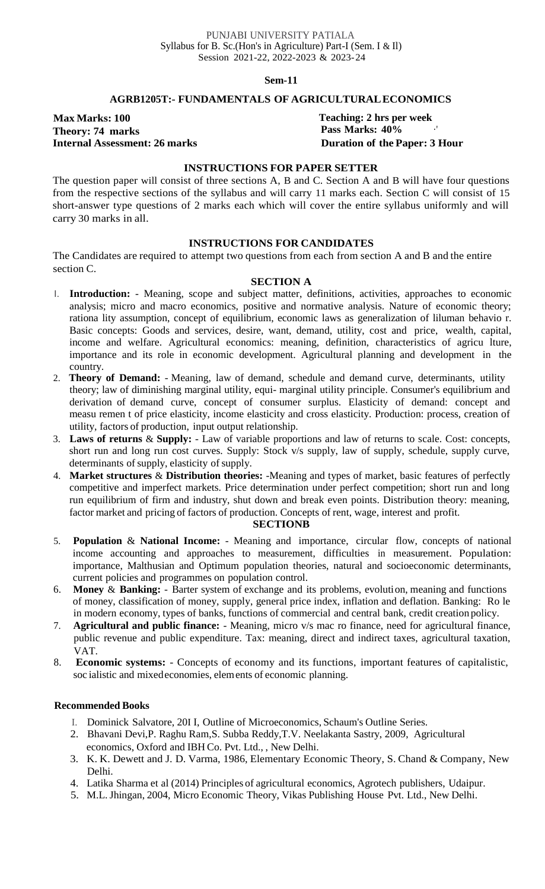#### **AGRB1205T:- FUNDAMENTALS OF AGRICULTURALECONOMICS**

**Max Marks: 100 Theory: 74 marks Internal Assessment: 26 marks** **Teaching: 2 hrs per week Pass Marks: 40%** ·' **Duration of the Paper: 3 Hour**

#### **INSTRUCTIONS FOR PAPER SETTER**

The question paper will consist of three sections A, B and C. Section A and B will have four questions from the respective sections of the syllabus and will carry 11 marks each. Section C will consist of 15 short-answer type questions of 2 marks each which will cover the entire syllabus uniformly and will carry 30 marks in all.

#### **INSTRUCTIONS FOR CANDIDATES**

The Candidates are required to attempt two questions from each from section A and B and the entire section C.

#### **SECTION A**

- I. **Introduction:**  Meaning, scope and subject matter, definitions, activities, approaches to economic analysis; micro and macro economics, positive and normative analysis. Nature of economic theory; rationa lity assumption, concept of equilibrium, economic laws as generalization of liluman behavio r. Basic concepts: Goods and services, desire, want, demand, utility, cost and price, wealth, capital, income and welfare. Agricultural economics: meaning, definition, characteristics of agricu lture, importance and its role in economic development. Agricultural planning and development in the country.
- 2. **Theory of Demand:** Meaning, law of demand, schedule and demand curve, determinants, utility theory; law of diminishing marginal utility, equi- marginal utility principle. Consumer's equilibrium and derivation of demand curve, concept of consumer surplus. Elasticity of demand: concept and measu remen t of price elasticity, income elasticity and cross elasticity. Production: process, creation of utility, factors of production, input output relationship.
- 3. **Laws of returns** & **Supply:**  Law of variable proportions and law of returns to scale. Cost: concepts, short run and long run cost curves. Supply: Stock v/s supply, law of supply, schedule, supply curve, determinants of supply, elasticity of supply.
- 4. **Market structures** & **Distribution theories:** -Meaning and types of market, basic features of perfectly competitive and imperfect markets. Price determination under perfect competition; short run and long run equilibrium of firm and industry, shut down and break even points. Distribution theory: meaning, factor market and pricing of factors of production. Concepts of rent, wage, interest and profit.

#### **SECTIONB**

- 5. **Population** & **National Income:**  Meaning and importance, circular flow, concepts of national income accounting and approaches to measurement, difficulties in measurement. Population: importance, Malthusian and Optimum population theories, natural and socioeconomic determinants, current policies and programmes on population control.
- 6. **Money** & **Banking:** Barter system of exchange and its problems, evolution, meaning and functions of money, classification of money, supply, general price index, inflation and deflation. Banking: Ro le in modern economy, types of banks, functions of commercial and central bank, credit creation policy.
- 7. **Agricultural and public finance:**  Meaning, micro v/s mac ro finance, need for agricultural finance, public revenue and public expenditure. Tax: meaning, direct and indirect taxes, agricultural taxation, VAT.
- 8. **Economic systems:** Concepts of economy and its functions, important features of capitalistic, soc ialistic and mixedeconomies, elements of economic planning.

- I. Dominick Salvatore, 20I I, Outline of Microeconomics, Schaum's Outline Series.
- 2. Bhavani Devi,P. Raghu Ram,S. Subba Reddy,T.V. Neelakanta Sastry, 2009, Agricultural economics, Oxford and IBH Co. Pvt. Ltd., , New Delhi.
- 3. K. K. Dewett and J. D. Varma, 1986, Elementary Economic Theory, S. Chand & Company, New Delhi.
- 4. Latika Sharma et al (2014) Principles of agricultural economics, Agrotech publishers, Udaipur.
- 5. M.L.Jhingan, 2004, Micro Economic Theory, Vikas Publishing House Pvt. Ltd., New Delhi.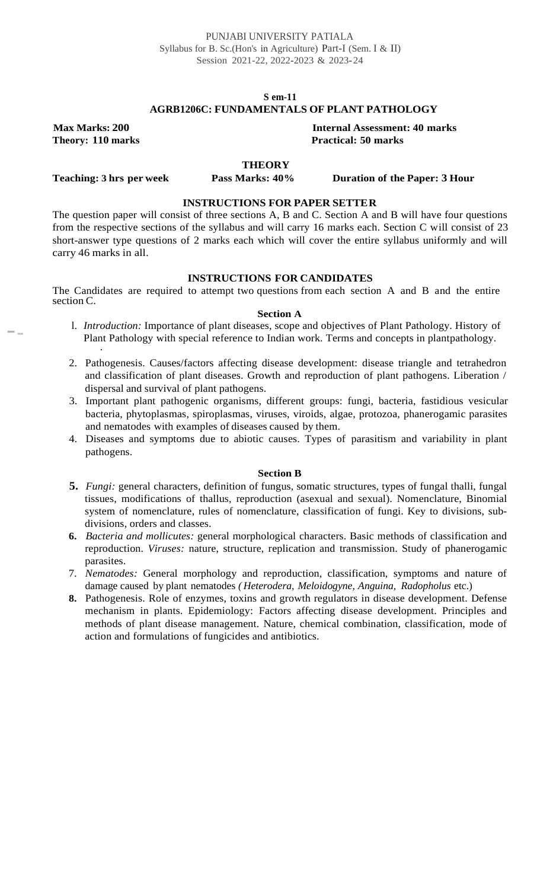#### **S em-11 AGRB1206C: FUNDAMENTALS OF PLANT PATHOLOGY**

**Max Marks: 200**

--

**Internal Assessment: 40 marks Theory: 110 marks Practical: 50 marks**

#### **THEORY**

**Teaching: 3 hrs per week**

#### **Pass Marks: 40% Duration of the Paper: 3 Hour**

#### **INSTRUCTIONS FOR PAPER SETTER**

The question paper will consist of three sections A, B and C. Section A and B will have four questions from the respective sections of the syllabus and will carry 16 marks each. Section C will consist of 23 short-answer type questions of 2 marks each which will cover the entire syllabus uniformly and will carry 46 marks in all.

#### **INSTRUCTIONS FOR CANDIDATES**

The Candidates are required to attempt two questions from each section A and B and the entire section C.

#### **Section A**

- l. *Introduction:* Importance of plant diseases, scope and objectives of Plant Pathology. History of Plant Pathology with special reference to Indian work. Terms and concepts in plantpathology. ·
- 2. Pathogenesis. Causes/factors affecting disease development: disease triangle and tetrahedron and classification of plant diseases. Growth and reproduction of plant pathogens. Liberation / dispersal and survival of plant pathogens.
- 3. Important plant pathogenic organisms, different groups: fungi, bacteria, fastidious vesicular bacteria, phytoplasmas, spiroplasmas, viruses, viroids, algae, protozoa, phanerogamic parasites and nematodes with examples of diseases caused by them.
- 4. Diseases and symptoms due to abiotic causes. Types of parasitism and variability in plant pathogens.

#### **Section B**

- **5.** *Fungi:* general characters, definition of fungus, somatic structures, types of fungal thalli, fungal tissues, modifications of thallus, reproduction (asexual and sexual). Nomenclature, Binomial system of nomenclature, rules of nomenclature, classification of fungi. Key to divisions, subdivisions, orders and classes.
- **6.** *Bacteria and mollicutes:* general morphological characters. Basic methods of classification and reproduction. *Viruses:* nature, structure, replication and transmission. Study of phanerogamic parasites.
- 7. *Nematodes:* General morphology and reproduction, classification, symptoms and nature of damage caused by plant nematodes *( Heterodera, Meloidogyne, Anguina, Radopholus* etc.)
- **8.** Pathogenesis. Role of enzymes, toxins and growth regulators in disease development. Defense mechanism in plants. Epidemiology: Factors affecting disease development. Principles and methods of plant disease management. Nature, chemical combination, classification, mode of action and formulations of fungicides and antibiotics.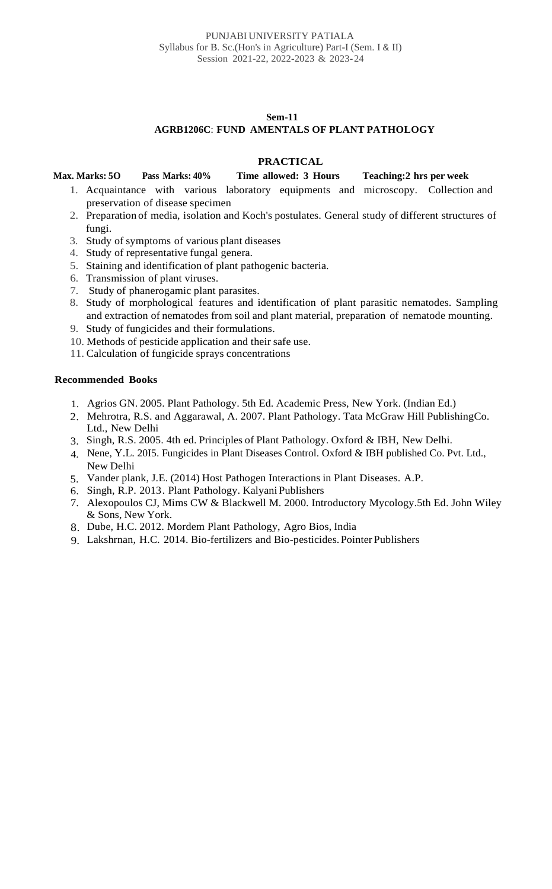#### **Sem-11 AGRB1206C**: **FUND AMENTALS OF PLANT PATHOLOGY**

### **PRACTICAL**

### **Max. Marks: 5O Pass Marks: 40% Time allowed: 3 Hours Teaching:2 hrs per week**

- 1. Acquaintance with various laboratory equipments and microscopy. Collection and preservation of disease specimen
- 2. Preparation of media, isolation and Koch's postulates. General study of different structures of fungi.
- 3. Study of symptoms of various plant diseases
- 4. Study of representative fungal genera.
- 5. Staining and identification of plant pathogenic bacteria.
- 6. Transmission of plant viruses.
- 7. Study of phanerogamic plant parasites.
- 8. Study of morphological features and identification of plant parasitic nematodes. Sampling and extraction of nematodes from soil and plant material, preparation of nematode mounting.
- 9. Study of fungicides and their formulations.
- 10. Methods of pesticide application and their safe use.
- 11. Calculation of fungicide sprays concentrations

- 1. Agrios GN. 2005. Plant Pathology. 5th Ed. Academic Press, New York. (Indian Ed.)
- 2. Mehrotra, R.S. and Aggarawal, A. 2007. Plant Pathology. Tata McGraw Hill PublishingCo. Ltd., New Delhi
- 3. Singh, R.S. 2005. 4th ed. Principles of Plant Pathology. Oxford & IBH, New Delhi.
- 4. Nene, Y.L. 20I5. Fungicides in Plant Diseases Control. Oxford & IBH published Co. Pvt. Ltd., New Delhi
- 5. Vander plank, J.E. (2014) Host Pathogen Interactions in Plant Diseases. A.P.
- 6. Singh, R.P. 2013. Plant Pathology. Kalyani Publishers
- 7. Alexopoulos CJ, Mims CW & Blackwell M. 2000. Introductory Mycology.5th Ed. John Wiley & Sons, New York.
- 8. Dube, H.C. 2012. Mordem Plant Pathology, Agro Bios, India
- 9. Lakshrnan, H.C. 2014. Bio-fertilizers and Bio-pesticides.Pointer Publishers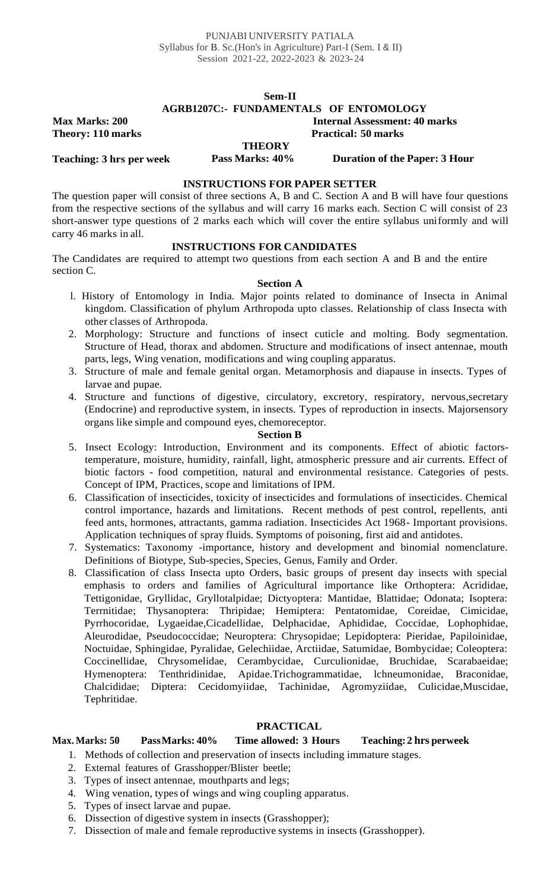# **Sem-II**

## **AGRB1207C:- FUNDAMENTALS OF ENTOMOLOGY**

**Internal Assessment: 40 marks**

**Practical: 50 marks**

**Theory: 110 marks**

**Max Marks: 200**

#### **THEORY**<br>**Pass Marks: 40% Teaching: 3 hrs per week Pass Marks: 40% Duration of the Paper: 3 Hour**

#### **INSTRUCTIONS FOR PAPER SETTER**

The question paper will consist of three sections A, B and C. Section A and B will have four questions from the respective sections of the syllabus and will carry 16 marks each. Section C will consist of 23 short-answer type questions of 2 marks each which will cover the entire syllabus uniformly and will carry 46 marks in all.

### **INSTRUCTIONS FOR CANDIDATES**

The Candidates are required to attempt two questions from each section A and B and the entire section C.

#### **Section A**

- l. History of Entomology in India. Major points related to dominance of Insecta in Animal kingdom. Classification of phylum Arthropoda upto classes. Relationship of class Insecta with other classes of Arthropoda.
- 2. Morphology: Structure and functions of insect cuticle and molting. Body segmentation. Structure of Head, thorax and abdomen. Structure and modifications of insect antennae, mouth parts, legs, Wing venation, modifications and wing coupling apparatus.
- 3. Structure of male and female genital organ. Metamorphosis and diapause in insects. Types of larvae and pupae.
- 4. Structure and functions of digestive, circulatory, excretory, respiratory, nervous,secretary (Endocrine) and reproductive system, in insects. Types of reproduction in insects. Majorsensory organs like simple and compound eyes, chemoreceptor.

#### **Section B**

- 5. Insect Ecology: Introduction, Environment and its components. Effect of abiotic factorstemperature, moisture, humidity, rainfall, light, atmospheric pressure and air currents. Effect of biotic factors - food competition, natural and environmental resistance. Categories of pests. Concept of IPM, Practices, scope and limitations of IPM.
- 6. Classification of insecticides, toxicity of insecticides and formulations of insecticides. Chemical control importance, hazards and limitations. Recent methods of pest control, repellents, anti feed ants, hormones, attractants, gamma radiation. Insecticides Act 1968- Important provisions. Application techniques of spray fluids. Symptoms of poisoning, first aid and antidotes.
- 7. Systematics: Taxonomy -importance, history and development and binomial nomenclature. Definitions of Biotype, Sub-species, Species, Genus, Family and Order.
- 8. Classification of class Insecta upto Orders, basic groups of present day insects with special emphasis to orders and families of Agricultural importance like Orthoptera: Acrididae, Tettigonidae, Gryllidac, Gryllotalpidae; Dictyoptera: Mantidae, Blattidae; Odonata; Isoptera: Terrnitidae; Thysanoptera: Thripidae; Hemiptera: Pentatomidae, Coreidae, Cimicidae, Pyrrhocoridae, Lygaeidae,Cicadellidae, Delphacidae, Aphididae, Coccidae, Lophophidae, Aleurodidae, Pseudococcidae; Neuroptera: Chrysopidae; Lepidoptera: Pieridae, Papiloinidae, Noctuidae, Sphingidae, Pyralidae, Gelechiidae, Arctiidae, Satumidae, Bombycidae; Coleoptera: Coccinellidae, Chrysomelidae, Cerambycidae, Curculionidae, Bruchidae, Scarabaeidae; Hymenoptera: Tenthridinidae, Apidae.Trichogrammatidae, lchneumonidae, Braconidae, Chalcididae; Diptera: Cecidomyiidae, Tachinidae, Agromyziidae, Culicidae,Muscidae, Tephritidae.

### **PRACTICAL**

### **Max. Marks: 50 PassMarks: 40% Time allowed: 3 Hours Teaching:2 hrs perweek**

- 1. Methods of collection and preservation of insects including immature stages.
- 2. External features of Grasshopper/Blister beetle;
- 3. Types of insect antennae, mouthparts and legs;
- 4. Wing venation, types of wings and wing coupling apparatus.
- 5. Types of insect larvae and pupae.
- 6. Dissection of digestive system in insects (Grasshopper);
- 7. Dissection of male and female reproductive systems in insects (Grasshopper).